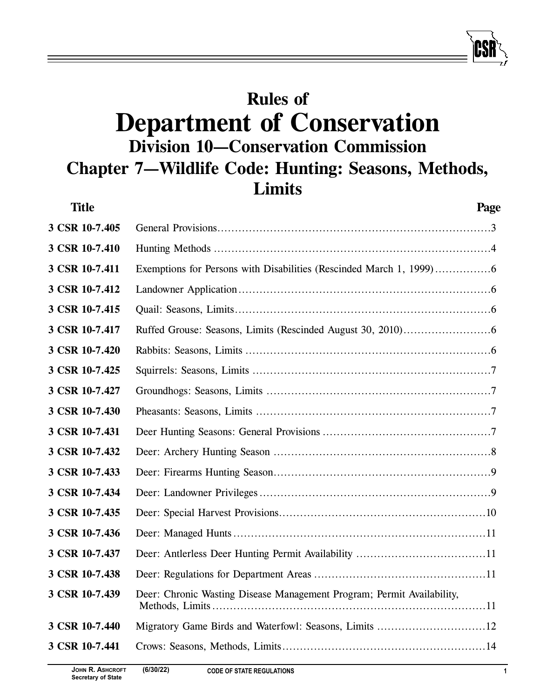# **Rules of Department of Conservation Division 10—Conservation Commission Chapter 7—Wildlife Code: Hunting: Seasons, Methods, Limits**

| <b>Title</b>   |                                                                        | Page |
|----------------|------------------------------------------------------------------------|------|
| 3 CSR 10-7.405 |                                                                        |      |
| 3 CSR 10-7.410 |                                                                        |      |
| 3 CSR 10-7.411 |                                                                        |      |
| 3 CSR 10-7.412 |                                                                        |      |
| 3 CSR 10-7.415 |                                                                        |      |
| 3 CSR 10-7.417 |                                                                        |      |
| 3 CSR 10-7.420 |                                                                        |      |
| 3 CSR 10-7.425 |                                                                        |      |
| 3 CSR 10-7.427 |                                                                        |      |
| 3 CSR 10-7.430 |                                                                        |      |
| 3 CSR 10-7.431 |                                                                        |      |
| 3 CSR 10-7.432 |                                                                        |      |
| 3 CSR 10-7.433 |                                                                        |      |
| 3 CSR 10-7.434 |                                                                        |      |
| 3 CSR 10-7.435 |                                                                        |      |
| 3 CSR 10-7.436 |                                                                        |      |
| 3 CSR 10-7.437 |                                                                        |      |
| 3 CSR 10-7.438 |                                                                        |      |
| 3 CSR 10-7.439 | Deer: Chronic Wasting Disease Management Program; Permit Availability, |      |
| 3 CSR 10-7.440 |                                                                        |      |
| 3 CSR 10-7.441 |                                                                        |      |
|                |                                                                        |      |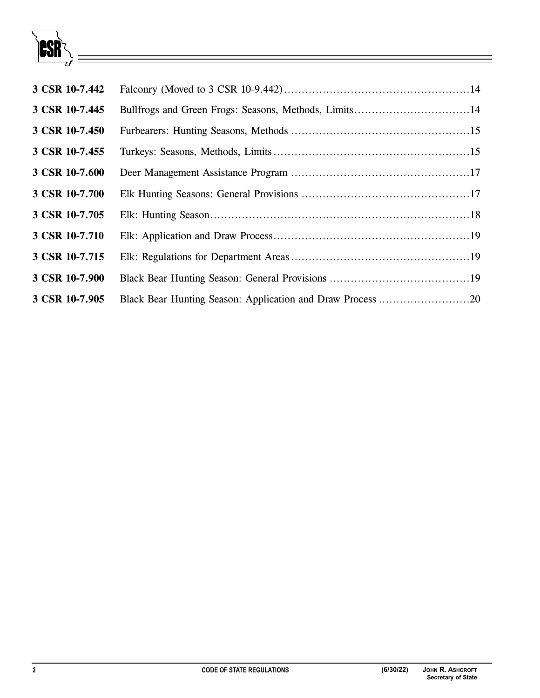

| 3 CSR 10-7.442 |                                                            |  |
|----------------|------------------------------------------------------------|--|
| 3 CSR 10-7.445 |                                                            |  |
| 3 CSR 10-7.450 |                                                            |  |
| 3 CSR 10-7.455 |                                                            |  |
| 3 CSR 10-7.600 |                                                            |  |
| 3 CSR 10-7.700 |                                                            |  |
| 3 CSR 10-7.705 |                                                            |  |
| 3 CSR 10-7.710 |                                                            |  |
| 3 CSR 10-7.715 |                                                            |  |
| 3 CSR 10-7.900 |                                                            |  |
| 3 CSR 10-7.905 | Black Bear Hunting Season: Application and Draw Process 20 |  |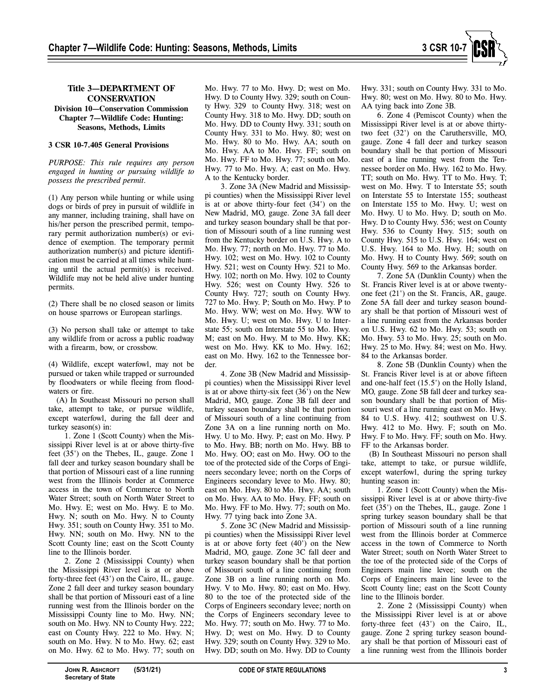

# **Title 3—DEPARTMENT OF CONSERVATION**

**Division 10—Conservation Commission Chapter 7—Wildlife Code: Hunting: Seasons, Methods, Limits** 

# **3 CSR 10-7.405 General Provisions**

*PURPOSE: This rule requires any person engaged in hunting or pursuing wildlife to possess the prescribed permit.* 

(1) Any person while hunting or while using dogs or birds of prey in pursuit of wildlife in any manner, including training, shall have on his/her person the prescribed permit, temporary permit authorization number(s) or evidence of exemption. The temporary permit authorization number(s) and picture identification must be carried at all times while hunting until the actual permit(s) is received. Wildlife may not be held alive under hunting permits.

(2) There shall be no closed season or limits on house sparrows or European starlings.

(3) No person shall take or attempt to take any wildlife from or across a public roadway with a firearm, bow, or crossbow.

(4) Wildlife, except waterfowl, may not be pursued or taken while trapped or surrounded by floodwaters or while fleeing from floodwaters or fire.

(A) In Southeast Missouri no person shall take, attempt to take, or pursue wildlife, except waterfowl, during the fall deer and turkey season(s) in:

1. Zone 1 (Scott County) when the Mississippi River level is at or above thirty-five feet (35') on the Thebes, IL, gauge. Zone 1 fall deer and turkey season boundary shall be that portion of Missouri east of a line running west from the Illinois border at Commerce access in the town of Commerce to North Water Street; south on North Water Street to Mo. Hwy. E; west on Mo. Hwy. E to Mo. Hwy. N; south on Mo. Hwy. N to County Hwy. 351; south on County Hwy. 351 to Mo. Hwy. NN; south on Mo. Hwy. NN to the Scott County line; east on the Scott County line to the Illinois border.

2. Zone 2 (Mississippi County) when the Mississippi River level is at or above forty-three feet (43') on the Cairo, IL, gauge. Zone 2 fall deer and turkey season boundary shall be that portion of Missouri east of a line running west from the Illinois border on the Mississippi County line to Mo. Hwy. NN; south on Mo. Hwy. NN to County Hwy. 222; east on County Hwy. 222 to Mo. Hwy. N; south on Mo. Hwy. N to Mo. Hwy. 62; east on Mo. Hwy. 62 to Mo. Hwy. 77; south on

Mo. Hwy. 77 to Mo. Hwy. D; west on Mo. Hwy. D to County Hwy. 329; south on County Hwy. 329 to County Hwy. 318; west on County Hwy. 318 to Mo. Hwy. DD; south on Mo. Hwy. DD to County Hwy. 331; south on County Hwy. 331 to Mo. Hwy. 80; west on Mo. Hwy. 80 to Mo. Hwy. AA; south on Mo. Hwy. AA to Mo. Hwy. FF; south on Mo. Hwy. FF to Mo. Hwy. 77; south on Mo. Hwy. 77 to Mo. Hwy. A; east on Mo. Hwy. A to the Kentucky border.

3. Zone 3A (New Madrid and Mississippi counties) when the Mississippi River level is at or above thirty-four feet (34') on the New Madrid, MO, gauge. Zone 3A fall deer and turkey season boundary shall be that portion of Missouri south of a line running west from the Kentucky border on U.S. Hwy. A to Mo. Hwy. 77; north on Mo. Hwy. 77 to Mo. Hwy. 102; west on Mo. Hwy. 102 to County Hwy. 521; west on County Hwy. 521 to Mo. Hwy. 102; north on Mo. Hwy. 102 to County Hwy. 526; west on County Hwy. 526 to County Hwy. 727; south on County Hwy. 727 to Mo. Hwy. P; South on Mo. Hwy. P to Mo. Hwy. WW; west on Mo. Hwy. WW to Mo. Hwy. U; west on Mo. Hwy. U to Interstate 55; south on Interstate 55 to Mo. Hwy. M; east on Mo. Hwy. M to Mo. Hwy. KK; west on Mo. Hwy. KK to Mo. Hwy. 162; east on Mo. Hwy. 162 to the Tennessee border.

4. Zone 3B (New Madrid and Mississippi counties) when the Mississippi River level is at or above thirty-six feet (36') on the New Madrid, MO, gauge. Zone 3B fall deer and turkey season boundary shall be that portion of Missouri south of a line continuing from Zone 3A on a line running north on Mo. Hwy. U to Mo. Hwy. P; east on Mo. Hwy. P to Mo. Hwy. BB; north on Mo. Hwy. BB to Mo. Hwy. OO; east on Mo. Hwy. OO to the toe of the protected side of the Corps of Engineers secondary levee; north on the Corps of Engineers secondary levee to Mo. Hwy. 80; east on Mo. Hwy. 80 to Mo. Hwy. AA; south on Mo. Hwy. AA to Mo. Hwy. FF; south on Mo. Hwy. FF to Mo. Hwy. 77; south on Mo. Hwy. 77 tying back into Zone 3A.

5. Zone 3C (New Madrid and Mississippi counties) when the Mississippi River level is at or above forty feet (40') on the New Madrid, MO, gauge. Zone 3C fall deer and turkey season boundary shall be that portion of Missouri south of a line continuing from Zone 3B on a line running north on Mo. Hwy. V to Mo. Hwy. 80; east on Mo. Hwy. 80 to the toe of the protected side of the Corps of Engineers secondary levee; north on the Corps of Engineers secondary levee to Mo. Hwy. 77; south on Mo. Hwy. 77 to Mo. Hwy. D; west on Mo. Hwy. D to County Hwy. 329; south on County Hwy. 329 to Mo. Hwy. DD; south on Mo. Hwy. DD to County

Hwy. 331; south on County Hwy. 331 to Mo. Hwy. 80; west on Mo. Hwy. 80 to Mo. Hwy. AA tying back into Zone 3B.

6. Zone 4 (Pemiscot County) when the Mississippi River level is at or above thirtytwo feet (32') on the Caruthersville, MO, gauge. Zone 4 fall deer and turkey season boundary shall be that portion of Missouri east of a line running west from the Tennessee border on Mo. Hwy. 162 to Mo. Hwy. TT; south on Mo. Hwy. TT to Mo. Hwy. T; west on Mo. Hwy. T to Interstate 55; south on Interstate 55 to Interstate 155; southeast on Interstate 155 to Mo. Hwy. U; west on Mo. Hwy. U to Mo. Hwy. D; south on Mo. Hwy. D to County Hwy. 536; west on County Hwy. 536 to County Hwy. 515; south on County Hwy. 515 to U.S. Hwy. 164; west on U.S. Hwy. 164 to Mo. Hwy. H; south on Mo. Hwy. H to County Hwy. 569; south on County Hwy. 569 to the Arkansas border.

7. Zone 5A (Dunklin County) when the St. Francis River level is at or above twentyone feet (21') on the St. Francis, AR, gauge. Zone 5A fall deer and turkey season boundary shall be that portion of Missouri west of a line running east from the Arkansas border on U.S. Hwy. 62 to Mo. Hwy. 53; south on Mo. Hwy. 53 to Mo. Hwy. 25; south on Mo. Hwy. 25 to Mo. Hwy. 84; west on Mo. Hwy. 84 to the Arkansas border.

8. Zone 5B (Dunklin County) when the St. Francis River level is at or above fifteen and one-half feet (15.5') on the Holly Island, MO, gauge. Zone 5B fall deer and turkey season boundary shall be that portion of Missouri west of a line running east on Mo. Hwy. 84 to U.S. Hwy. 412; southwest on U.S. Hwy. 412 to Mo. Hwy. F; south on Mo. Hwy. F to Mo. Hwy. FF; south on Mo. Hwy. FF to the Arkansas border.

(B) In Southeast Missouri no person shall take, attempt to take, or pursue wildlife, except waterfowl, during the spring turkey hunting season in:

1. Zone 1 (Scott County) when the Mississippi River level is at or above thirty-five feet (35') on the Thebes, IL, gauge. Zone 1 spring turkey season boundary shall be that portion of Missouri south of a line running west from the Illinois border at Commerce access in the town of Commerce to North Water Street; south on North Water Street to the toe of the protected side of the Corps of Engineers main line levee; south on the Corps of Engineers main line levee to the Scott County line; east on the Scott County line to the Illinois border.

2. Zone 2 (Mississippi County) when the Mississippi River level is at or above forty-three feet (43') on the Cairo, IL, gauge. Zone 2 spring turkey season boundary shall be that portion of Missouri east of a line running west from the Illinois border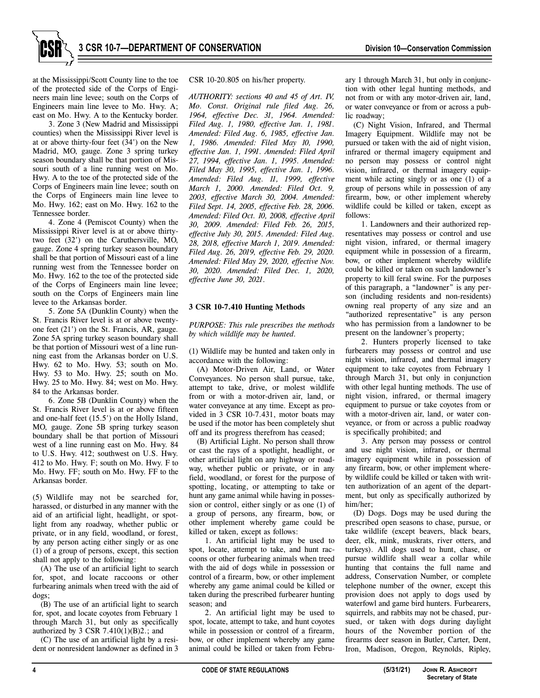at the Mississippi/Scott County line to the toe of the protected side of the Corps of Engineers main line levee; south on the Corps of Engineers main line levee to Mo. Hwy. A; east on Mo. Hwy. A to the Kentucky border.

3. Zone 3 (New Madrid and Mississippi counties) when the Mississippi River level is at or above thirty-four feet (34') on the New Madrid, MO, gauge. Zone 3 spring turkey season boundary shall be that portion of Missouri south of a line running west on Mo. Hwy. A to the toe of the protected side of the Corps of Engineers main line levee; south on the Corps of Engineers main line levee to Mo. Hwy. 162; east on Mo. Hwy. 162 to the Tennessee border.

4. Zone 4 (Pemiscot County) when the Mississippi River level is at or above thirtytwo feet (32') on the Caruthersville, MO, gauge. Zone 4 spring turkey season boundary shall be that portion of Missouri east of a line running west from the Tennessee border on Mo. Hwy. 162 to the toe of the protected side of the Corps of Engineers main line levee; south on the Corps of Engineers main line levee to the Arkansas border.

5. Zone 5A (Dunklin County) when the St. Francis River level is at or above twentyone feet (21') on the St. Francis, AR, gauge. Zone 5A spring turkey season boundary shall be that portion of Missouri west of a line running east from the Arkansas border on U.S. Hwy. 62 to Mo. Hwy. 53; south on Mo. Hwy. 53 to Mo. Hwy. 25; south on Mo. Hwy. 25 to Mo. Hwy. 84; west on Mo. Hwy. 84 to the Arkansas border.

6. Zone 5B (Dunklin County) when the St. Francis River level is at or above fifteen and one-half feet (15.5') on the Holly Island, MO, gauge. Zone 5B spring turkey season boundary shall be that portion of Missouri west of a line running east on Mo. Hwy. 84 to U.S. Hwy. 412; southwest on U.S. Hwy. 412 to Mo. Hwy. F; south on Mo. Hwy. F to Mo. Hwy. FF; south on Mo. Hwy. FF to the Arkansas border.

(5) Wildlife may not be searched for, harassed, or disturbed in any manner with the aid of an artificial light, headlight, or spotlight from any roadway, whether public or private, or in any field, woodland, or forest, by any person acting either singly or as one (1) of a group of persons, except, this section shall not apply to the following:

(A) The use of an artificial light to search for, spot, and locate raccoons or other furbearing animals when treed with the aid of dogs;

(B) The use of an artificial light to search for, spot, and locate coyotes from February 1 through March 31, but only as specifically authorized by 3 CSR 7.410(1)(B)2.; and

(C) The use of an artificial light by a resident or nonresident landowner as defined in 3 CSR 10-20.805 on his/her property.

*AUTHORITY: sections 40 and 45 of Art. IV, Mo. Const. Original rule filed Aug. 26, 1964, effective Dec. 31, 1964. Amended: Filed Aug. 1, 1980, effective Jan. 1, 1981. Amended: Filed Aug. 6, 1985, effective Jan. 1, 1986. Amended: Filed May 10, 1990, effective Jan. 1, 1991. Amended: Filed April 27, 1994, effective Jan. 1, 1995. Amended: Filed May 30, 1995, effective Jan. 1, 1996. Amended: Filed Aug. 11, 1999, effective March 1, 2000. Amended: Filed Oct. 9, 2003, effective March 30, 2004. Amended: Filed Sept. 14, 2005, effective Feb. 28, 2006. Amended: Filed Oct. 10, 2008, effective April 30, 2009. Amended: Filed Feb. 26, 2015, effective July 30, 2015. Amended: Filed Aug. 28, 2018, effective March 1, 2019. Amended: Filed Aug. 26, 2019, effective Feb. 29, 2020. Amended: Filed May 29, 2020, effective Nov. 30, 2020. Amended: Filed Dec. 1, 2020, effective June 30, 2021.* 

#### **3 CSR 10-7.410 Hunting Methods**

*PURPOSE: This rule prescribes the methods by which wildlife may be hunted.* 

(1) Wildlife may be hunted and taken only in accordance with the following:

(A) Motor-Driven Air, Land, or Water Conveyances. No person shall pursue, take, attempt to take, drive, or molest wildlife from or with a motor-driven air, land, or water conveyance at any time. Except as provided in 3 CSR 10-7.431, motor boats may be used if the motor has been completely shut off and its progress therefrom has ceased;

(B) Artificial Light. No person shall throw or cast the rays of a spotlight, headlight, or other artificial light on any highway or roadway, whether public or private, or in any field, woodland, or forest for the purpose of spotting, locating, or attempting to take or hunt any game animal while having in possession or control, either singly or as one (1) of a group of persons, any firearm, bow, or other implement whereby game could be killed or taken, except as follows:

1. An artificial light may be used to spot, locate, attempt to take, and hunt raccoons or other furbearing animals when treed with the aid of dogs while in possession or control of a firearm, bow, or other implement whereby any game animal could be killed or taken during the prescribed furbearer hunting season; and

2. An artificial light may be used to spot, locate, attempt to take, and hunt coyotes while in possession or control of a firearm, bow, or other implement whereby any game animal could be killed or taken from February 1 through March 31, but only in conjunction with other legal hunting methods, and not from or with any motor-driven air, land, or water conveyance or from or across a public roadway;

(C) Night Vision, Infrared, and Thermal Imagery Equipment. Wildlife may not be pursued or taken with the aid of night vision, infrared or thermal imagery equipment and no person may possess or control night vision, infrared, or thermal imagery equipment while acting singly or as one (1) of a group of persons while in possession of any firearm, bow, or other implement whereby wildlife could be killed or taken, except as follows:

1. Landowners and their authorized representatives may possess or control and use night vision, infrared, or thermal imagery equipment while in possession of a firearm, bow, or other implement whereby wildlife could be killed or taken on such landowner's property to kill feral swine. For the purposes of this paragraph, a "landowner" is any person (including residents and non-residents) owning real property of any size and an "authorized representative" is any person who has permission from a landowner to be present on the landowner's property;

2. Hunters properly licensed to take furbearers may possess or control and use night vision, infrared, and thermal imagery equipment to take coyotes from February 1 through March 31, but only in conjunction with other legal hunting methods. The use of night vision, infrared, or thermal imagery equipment to pursue or take coyotes from or with a motor-driven air, land, or water conveyance, or from or across a public roadway is specifically prohibited; and

3. Any person may possess or control and use night vision, infrared, or thermal imagery equipment while in possession of any firearm, bow, or other implement whereby wildlife could be killed or taken with written authorization of an agent of the department, but only as specifically authorized by him/her;

(D) Dogs. Dogs may be used during the prescribed open seasons to chase, pursue, or take wildlife (except beavers, black bears, deer, elk, mink, muskrats, river otters, and turkeys). All dogs used to hunt, chase, or pursue wildlife shall wear a collar while hunting that contains the full name and address, Conservation Number, or complete telephone number of the owner, except this provision does not apply to dogs used by waterfowl and game bird hunters. Furbearers, squirrels, and rabbits may not be chased, pursued, or taken with dogs during daylight hours of the November portion of the firearms deer season in Butler, Carter, Dent, Iron, Madison, Oregon, Reynolds, Ripley,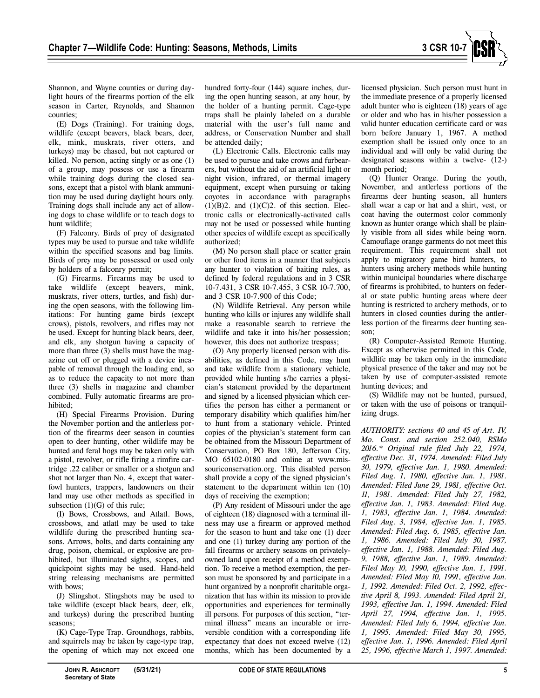

(E) Dogs (Training). For training dogs, wildlife (except beavers, black bears, deer, elk, mink, muskrats, river otters, and turkeys) may be chased, but not captured or killed. No person, acting singly or as one (1) of a group, may possess or use a firearm while training dogs during the closed seasons, except that a pistol with blank ammunition may be used during daylight hours only. Training dogs shall include any act of allowing dogs to chase wildlife or to teach dogs to hunt wildlife;

(F) Falconry. Birds of prey of designated types may be used to pursue and take wildlife within the specified seasons and bag limits. Birds of prey may be possessed or used only by holders of a falconry permit;

(G) Firearms. Firearms may be used to take wildlife (except beavers, mink, muskrats, river otters, turtles, and fish) during the open seasons, with the following limitations: For hunting game birds (except crows), pistols, revolvers, and rifles may not be used. Except for hunting black bears, deer, and elk, any shotgun having a capacity of more than three (3) shells must have the magazine cut off or plugged with a device incapable of removal through the loading end, so as to reduce the capacity to not more than three (3) shells in magazine and chamber combined. Fully automatic firearms are prohibited;

(H) Special Firearms Provision. During the November portion and the antlerless portion of the firearms deer season in counties open to deer hunting, other wildlife may be hunted and feral hogs may be taken only with a pistol, revolver, or rifle firing a rimfire cartridge .22 caliber or smaller or a shotgun and shot not larger than No. 4, except that waterfowl hunters, trappers, landowners on their land may use other methods as specified in subsection  $(1)(G)$  of this rule;

(I) Bows, Crossbows, and Atlatl. Bows, crossbows, and atlatl may be used to take wildlife during the prescribed hunting seasons. Arrows, bolts, and darts containing any drug, poison, chemical, or explosive are prohibited, but illuminated sights, scopes, and quickpoint sights may be used. Hand-held string releasing mechanisms are permitted with bows;

(J) Slingshot. Slingshots may be used to take wildlife (except black bears, deer, elk, and turkeys) during the prescribed hunting seasons;

(K) Cage-Type Trap. Groundhogs, rabbits, and squirrels may be taken by cage-type trap, the opening of which may not exceed one hundred forty-four (144) square inches, during the open hunting season, at any hour, by the holder of a hunting permit. Cage-type traps shall be plainly labeled on a durable material with the user's full name and address, or Conservation Number and shall be attended daily;

(L) Electronic Calls. Electronic calls may be used to pursue and take crows and furbearers, but without the aid of an artificial light or night vision, infrared, or thermal imagery equipment, except when pursuing or taking coyotes in accordance with paragraphs  $(1)(B)2$ . and  $(1)(C)2$ . of this section. Electronic calls or electronically-activated calls may not be used or possessed while hunting other species of wildlife except as specifically authorized;

(M) No person shall place or scatter grain or other food items in a manner that subjects any hunter to violation of baiting rules, as defined by federal regulations and in 3 CSR 10-7.431, 3 CSR 10-7.455, 3 CSR 10-7.700, and 3 CSR 10-7.900 of this Code;

(N) Wildlife Retrieval. Any person while hunting who kills or injures any wildlife shall make a reasonable search to retrieve the wildlife and take it into his/her possession; however, this does not authorize trespass;

(O) Any properly licensed person with disabilities, as defined in this Code, may hunt and take wildlife from a stationary vehicle, provided while hunting s/he carries a physician's statement provided by the department and signed by a licensed physician which certifies the person has either a permanent or temporary disability which qualifies him/her to hunt from a stationary vehicle. Printed copies of the physician's statement form can be obtained from the Missouri Department of Conservation, PO Box 180, Jefferson City, MO 65102-0180 and online at www.missouriconservation.org. This disabled person shall provide a copy of the signed physician's statement to the department within ten (10) days of receiving the exemption;

(P) Any resident of Missouri under the age of eighteen (18) diagnosed with a terminal illness may use a firearm or approved method for the season to hunt and take one (1) deer and one (1) turkey during any portion of the fall firearms or archery seasons on privatelyowned land upon receipt of a method exemption. To receive a method exemption, the person must be sponsored by and participate in a hunt organized by a nonprofit charitable organization that has within its mission to provide opportunities and experiences for terminally ill persons. For purposes of this section, "terminal illness" means an incurable or irreversible condition with a corresponding life expectancy that does not exceed twelve (12) months, which has been documented by a

licensed physician. Such person must hunt in the immediate presence of a properly licensed adult hunter who is eighteen (18) years of age or older and who has in his/her possession a valid hunter education certificate card or was born before January 1, 1967. A method exemption shall be issued only once to an individual and will only be valid during the designated seasons within a twelve- (12-) month period;

(Q) Hunter Orange. During the youth, November, and antlerless portions of the firearms deer hunting season, all hunters shall wear a cap or hat and a shirt, vest, or coat having the outermost color commonly known as hunter orange which shall be plainly visible from all sides while being worn. Camouflage orange garments do not meet this requirement. This requirement shall not apply to migratory game bird hunters, to hunters using archery methods while hunting within municipal boundaries where discharge of firearms is prohibited, to hunters on federal or state public hunting areas where deer hunting is restricted to archery methods, or to hunters in closed counties during the antlerless portion of the firearms deer hunting season;

(R) Computer-Assisted Remote Hunting. Except as otherwise permitted in this Code, wildlife may be taken only in the immediate physical presence of the taker and may not be taken by use of computer-assisted remote hunting devices; and

(S) Wildlife may not be hunted, pursued, or taken with the use of poisons or tranquilizing drugs.

*AUTHORITY: sections 40 and 45 of Art. IV, Mo. Const. and section 252.040, RSMo 2016.\* Original rule filed July 22, 1974, effective Dec. 31, 1974. Amended: Filed July 30, 1979, effective Jan. 1, 1980. Amended: Filed Aug. 1, 1980, effective Jan. 1, 1981. Amended: Filed June 29, 1981, effective Oct. 11, 1981. Amended: Filed July 27, 1982, effective Jan. 1, 1983. Amended: Filed Aug. 1, 1983, effective Jan. 1, 1984. Amended: Filed Aug. 3, 1984, effective Jan. 1, 1985. Amended: Filed Aug. 6, 1985, effective Jan. 1, 1986. Amended: Filed July 30, 1987, effective Jan. 1, 1988. Amended: Filed Aug. 9, 1988, effective Jan. 1, 1989. Amended: Filed May 10, 1990, effective Jan. 1, 1991. Amended: Filed May 10, 1991, effective Jan. 1, 1992. Amended: Filed Oct. 2, 1992, effective April 8, 1993. Amended: Filed April 21, 1993, effective Jan. 1, 1994. Amended: Filed April 27, 1994, effective Jan. 1, 1995. Amended: Filed July 6, 1994, effective Jan. 1, 1995. Amended: Filed May 30, 1995, effective Jan. 1, 1996. Amended: Filed April 25, 1996, effective March 1, 1997. Amended:*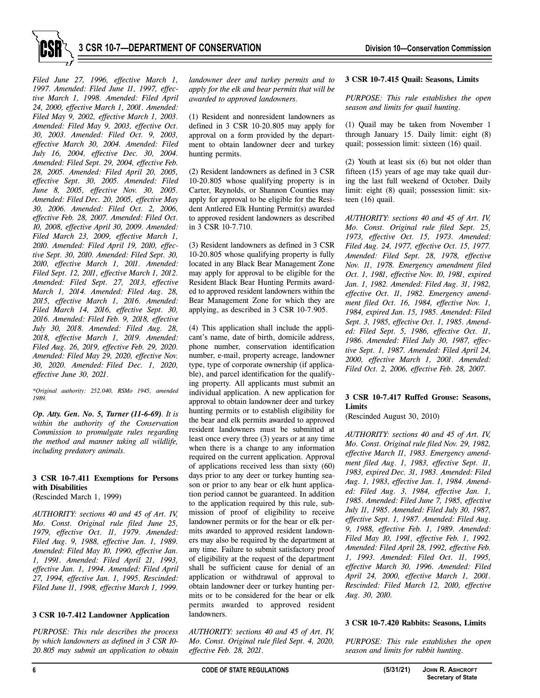

*Filed June 27, 1996, effective March 1, 1997. Amended: Filed June 11, 1997, effective March 1, 1998. Amended: Filed April 24, 2000, effective March 1, 2001. Amended: Filed May 9, 2002, effective March 1, 2003. Amended: Filed May 9, 2003, effective Oct. 30, 2003. Amended: Filed Oct. 9, 2003, effective March 30, 2004. Amended: Filed July 16, 2004, effective Dec. 30, 2004. Amended: Filed Sept. 29, 2004, effective Feb. 28, 2005. Amended: Filed April 20, 2005, effective Sept. 30, 2005. Amended: Filed June 8, 2005, effective Nov. 30, 2005. Amended: Filed Dec. 20, 2005, effective May 30, 2006. Amended: Filed Oct. 2, 2006, effective Feb. 28, 2007. Amended: Filed Oct. 10, 2008, effective April 30, 2009. Amended: Filed March 23, 2009, effective March 1, 2010. Amended: Filed April 19, 2010, effective Sept. 30, 2010. Amended: Filed Sept. 30, 2010, effective March 1, 2011. Amended: Filed Sept. 12, 2011, effective March 1, 2012. Amended: Filed Sept. 27, 2013, effective March 1, 2014. Amended: Filed Aug. 28, 2015, effective March 1, 2016. Amended: Filed March 14, 2016, effective Sept. 30, 2016. Amended: Filed Feb. 9, 2018, effective July 30, 2018. Amended: Filed Aug. 28, 2018, effective March 1, 2019. Amended: Filed Aug. 26, 2019, effective Feb. 29, 2020. Amended: Filed May 29, 2020, effective Nov. 30, 2020. Amended: Filed Dec. 1, 2020, effective June 30, 2021.* 

*\*Original authority: 252.040, RSMo 1945, amended 1989.* 

*Op. Atty. Gen. No. 5, Turner (11-6-69). It is within the authority of the Conservation Commission to promulgate rules regarding the method and manner taking all wildlife, including predatory animals.* 

# **3 CSR 10-7.411 Exemptions for Persons with Disabilities**

(Rescinded March 1, 1999)

*AUTHORITY: sections 40 and 45 of Art. IV, Mo. Const. Original rule filed June 25, 1979, effective Oct. 11, 1979. Amended: Filed Aug. 9, 1988, effective Jan. 1, 1989. Amended: Filed May 10, 1990, effective Jan. 1, 1991. Amended: Filed April 21, 1993, effective Jan. 1, 1994. Amended: Filed April 27, 1994, effective Jan. 1, 1995. Rescinded: Filed June 11, 1998, effective March 1, 1999.* 

# **3 CSR 10-7.412 Landowner Application**

*PURPOSE: This rule describes the process by which landowners as defined in 3 CSR 10- 20.805 may submit an application to obtain* 

*landowner deer and turkey permits and to apply for the elk and bear permits that will be awarded to approved landowners.* 

(1) Resident and nonresident landowners as defined in 3 CSR 10-20.805 may apply for approval on a form provided by the department to obtain landowner deer and turkey hunting permits.

(2) Resident landowners as defined in 3 CSR 10-20.805 whose qualifying property is in Carter, Reynolds, or Shannon Counties may apply for approval to be eligible for the Resident Antlered Elk Hunting Permit(s) awarded to approved resident landowners as described in 3 CSR 10-7.710.

(3) Resident landowners as defined in 3 CSR 10-20.805 whose qualifying property is fully located in any Black Bear Management Zone may apply for approval to be eligible for the Resident Black Bear Hunting Permits awarded to approved resident landowners within the Bear Management Zone for which they are applying, as described in 3 CSR 10-7.905.

(4) This application shall include the applicant's name, date of birth, domicile address, phone number, conservation identification number, e-mail, property acreage, landowner type, type of corporate ownership (if applicable), and parcel identification for the qualifying property. All applicants must submit an individual application. A new application for approval to obtain landowner deer and turkey hunting permits or to establish eligibility for the bear and elk permits awarded to approved resident landowners must be submitted at least once every three (3) years or at any time when there is a change to any information required on the current application. Approval of applications received less than sixty (60) days prior to any deer or turkey hunting season or prior to any bear or elk hunt application period cannot be guaranteed. In addition to the application required by this rule, submission of proof of eligibility to receive landowner permits or for the bear or elk permits awarded to approved resident landowners may also be required by the department at any time. Failure to submit satisfactory proof of eligibility at the request of the department shall be sufficient cause for denial of an application or withdrawal of approval to obtain landowner deer or turkey hunting permits or to be considered for the bear or elk permits awarded to approved resident landowners.

*AUTHORITY: sections 40 and 45 of Art. IV, Mo. Const. Original rule filed Sept. 4, 2020, effective Feb. 28, 2021.*

# **3 CSR 10-7.415 Quail: Seasons, Limits**

*PURPOSE: This rule establishes the open season and limits for quail hunting.* 

(1) Quail may be taken from November 1 through January 15. Daily limit: eight (8) quail; possession limit: sixteen (16) quail.

(2) Youth at least six (6) but not older than fifteen (15) years of age may take quail during the last full weekend of October. Daily limit: eight (8) quail; possession limit: sixteen (16) quail.

*AUTHORITY: sections 40 and 45 of Art. IV, Mo. Const. Original rule filed Sept. 25, 1973, effective Oct. 15, 1973. Amended: Filed Aug. 24, 1977, effective Oct. 15, 1977. Amended: Filed Sept. 28, 1978, effective Nov. 11, 1978. Emergency amendment filed Oct. 1, 1981, effective Nov. 10, 1981, expired Jan. 1, 1982. Amended: Filed Aug. 31, 1982, effective Oct. 11, 1982. Emergency amendment filed Oct. 16, 1984, effective Nov. 1, 1984, expired Jan. 15, 1985. Amended: Filed Sept. 3, 1985, effective Oct. 1, 1985. Amended: Filed Sept. 5, 1986, effective Oct. 11, 1986. Amended: Filed July 30, 1987, effective Sept. 1, 1987. Amended: Filed April 24, 2000, effective March 1, 2001. Amended: Filed Oct. 2, 2006, effective Feb. 28, 2007.* 

# **3 CSR 10-7.417 Ruffed Grouse: Seasons, Limits**

(Rescinded August 30, 2010)

*AUTHORITY: sections 40 and 45 of Art. IV, Mo. Const. Original rule filed Nov. 29, 1982, effective March 11, 1983. Emergency amendment filed Aug. 1, 1983, effective Sept. 11, 1983, expired Dec. 31, 1983. Amended: Filed Aug. 1, 1983, effective Jan. 1, 1984. Amended: Filed Aug. 3, 1984, effective Jan. 1, 1985. Amended: Filed June 7, 1985, effective July 11, 1985. Amended: Filed July 30, 1987, effective Sept. 1, 1987. Amended: Filed Aug. 9, 1988, effective Feb. 1, 1989. Amended: Filed May 10, 1991, effective Feb. 1, 1992. Amended: Filed April 28, 1992, effective Feb. 1, 1993. Amended: Filed Oct. 11, 1995, effective March 30, 1996. Amended: Filed April 24, 2000, effective March 1, 2001. Rescinded: Filed March 12, 2010, effective Aug. 30, 2010.* 

# **3 CSR 10-7.420 Rabbits: Seasons, Limits**

*PURPOSE: This rule establishes the open season and limits for rabbit hunting.*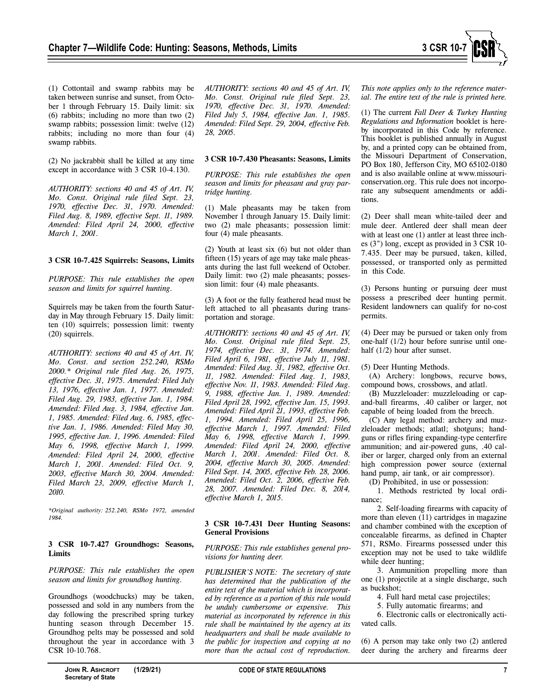

(1) Cottontail and swamp rabbits may be taken between sunrise and sunset, from October 1 through February 15. Daily limit: six (6) rabbits; including no more than two (2) swamp rabbits; possession limit: twelve (12) rabbits; including no more than four (4) swamp rabbits.

(2) No jackrabbit shall be killed at any time except in accordance with 3 CSR 10-4.130.

*AUTHORITY: sections 40 and 45 of Art. IV, Mo. Const. Original rule filed Sept. 23, 1970, effective Dec. 31, 1970. Amended: Filed Aug. 8, 1989, effective Sept. 11, 1989. Amended: Filed April 24, 2000, effective March 1, 2001.* 

# **3 CSR 10-7.425 Squirrels: Seasons, Limits**

*PURPOSE: This rule establishes the open season and limits for squirrel hunting.* 

Squirrels may be taken from the fourth Saturday in May through February 15. Daily limit: ten (10) squirrels; possession limit: twenty (20) squirrels.

*AUTHORITY: sections 40 and 45 of Art. IV, Mo. Const. and section 252.240, RSMo 2000.\* Original rule filed Aug. 26, 1975, effective Dec. 31, 1975. Amended: Filed July 13, 1976, effective Jan. 1, 1977. Amended: Filed Aug. 29, 1983, effective Jan. 1, 1984. Amended: Filed Aug. 3, 1984, effective Jan. 1, 1985. Amended: Filed Aug. 6, 1985, effective Jan. 1, 1986. Amended: Filed May 30, 1995, effective Jan. 1, 1996. Amended: Filed May 6, 1998, effective March 1, 1999. Amended: Filed April 24, 2000, effective March 1, 2001. Amended: Filed Oct. 9, 2003, effective March 30, 2004. Amended: Filed March 23, 2009, effective March 1, 2010.* 

*\*Original authority: 252.240, RSMo 1972, amended 1984.* 

# **3 CSR 10-7.427 Groundhogs: Seasons, Limits**

*PURPOSE: This rule establishes the open season and limits for groundhog hunting.* 

Groundhogs (woodchucks) may be taken, possessed and sold in any numbers from the day following the prescribed spring turkey hunting season through December 15. Groundhog pelts may be possessed and sold throughout the year in accordance with 3 CSR 10-10.768.

*AUTHORITY: sections 40 and 45 of Art. IV, Mo. Const. Original rule filed Sept. 23, 1970, effective Dec. 31, 1970. Amended: Filed July 5, 1984, effective Jan. 1, 1985. Amended: Filed Sept. 29, 2004, effective Feb. 28, 2005.* 

# **3 CSR 10-7.430 Pheasants: Seasons, Limits**

*PURPOSE: This rule establishes the open season and limits for pheasant and gray partridge hunting.*

(1) Male pheasants may be taken from November 1 through January 15. Daily limit: two (2) male pheasants; possession limit: four (4) male pheasants.

(2) Youth at least six (6) but not older than fifteen (15) years of age may take male pheasants during the last full weekend of October. Daily limit: two (2) male pheasants; possession limit: four (4) male pheasants.

(3) A foot or the fully feathered head must be left attached to all pheasants during transportation and storage.

*AUTHORITY: sections 40 and 45 of Art. IV, Mo. Const. Original rule filed Sept. 25, 1974, effective Dec. 31, 1974. Amended: Filed April 6, 1981, effective July 11, 1981. Amended: Filed Aug. 31, 1982, effective Oct. 11, 1982. Amended: Filed Aug. 1, 1983, effective Nov. 11, 1983. Amended: Filed Aug. 9, 1988, effective Jan. 1, 1989. Amended: Filed April 28, 1992, effective Jan. 15, 1993. Amended: Filed April 21, 1993, effective Feb. 1, 1994. Amended: Filed April 25, 1996, effective March 1, 1997. Amended: Filed May 6, 1998, effective March 1, 1999. Amended: Filed April 24, 2000, effective March 1, 2001. Amended: Filed Oct. 8, 2004, effective March 30, 2005. Amended: Filed Sept. 14, 2005, effective Feb. 28, 2006. Amended: Filed Oct. 2, 2006, effective Feb. 28, 2007. Amended: Filed Dec. 8, 2014, effective March 1, 2015.* 

#### **3 CSR 10-7.431 Deer Hunting Seasons: General Provisions**

#### *PURPOSE: This rule establishes general provisions for hunting deer.*

*PUBLISHER'S NOTE: The secretary of state has determined that the publication of the entire text of the material which is incorporated by reference as a portion of this rule would be unduly cumbersome or expensive. This material as incorporated by reference in this rule shall be maintained by the agency at its headquarters and shall be made available to the public for inspection and copying at no more than the actual cost of reproduction.* 

*This note applies only to the reference material. The entire text of the rule is printed here.* 

(1) The current *Fall Deer & Turkey Hunting Regulations and Information* booklet is hereby incorporated in this Code by reference. This booklet is published annually in August by, and a printed copy can be obtained from, the Missouri Department of Conservation, PO Box 180, Jefferson City, MO 65102-0180 and is also available online at www.missouriconservation.org. This rule does not incorporate any subsequent amendments or additions.

(2) Deer shall mean white-tailed deer and mule deer. Antlered deer shall mean deer with at least one (1) antler at least three inches (3") long, except as provided in 3 CSR 10- 7.435. Deer may be pursued, taken, killed, possessed, or transported only as permitted in this Code.

(3) Persons hunting or pursuing deer must possess a prescribed deer hunting permit. Resident landowners can qualify for no-cost permits.

(4) Deer may be pursued or taken only from one-half (1/2) hour before sunrise until onehalf  $(1/2)$  hour after sunset.

(5) Deer Hunting Methods.

(A) Archery: longbows, recurve bows, compound bows, crossbows, and atlatl.

(B) Muzzleloader: muzzleloading or capand-ball firearms, .40 caliber or larger, not capable of being loaded from the breech.

(C) Any legal method: archery and muzzleloader methods; atlatl; shotguns; handguns or rifles firing expanding-type centerfire ammunition; and air-powered guns, .40 caliber or larger, charged only from an external high compression power source (external hand pump, air tank, or air compressor).

(D) Prohibited, in use or possession:

1. Methods restricted by local ordinance;

2. Self-loading firearms with capacity of more than eleven (11) cartridges in magazine and chamber combined with the exception of concealable firearms, as defined in Chapter 571, RSMo. Firearms possessed under this exception may not be used to take wildlife while deer hunting;

3. Ammunition propelling more than one (1) projectile at a single discharge, such as buckshot;

4. Full hard metal case projectiles;

5. Fully automatic firearms; and

6. Electronic calls or electronically activated calls.

(6) A person may take only two (2) antlered deer during the archery and firearms deer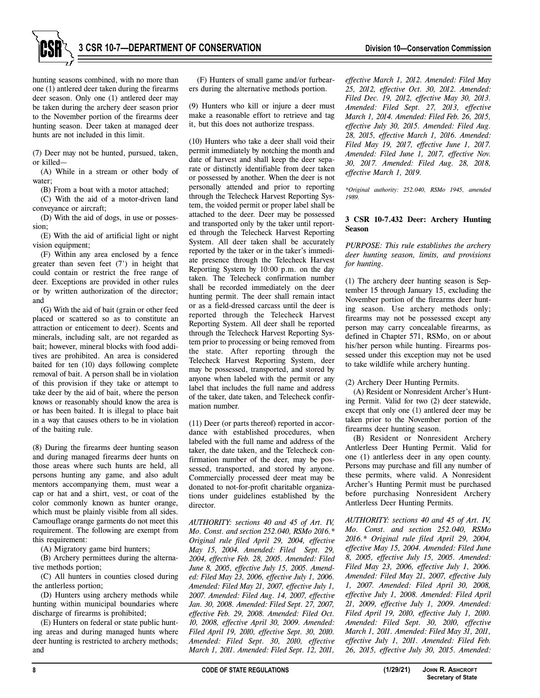

hunting seasons combined, with no more than one (1) antlered deer taken during the firearms deer season. Only one (1) antlered deer may be taken during the archery deer season prior to the November portion of the firearms deer hunting season. Deer taken at managed deer hunts are not included in this limit.

(7) Deer may not be hunted, pursued, taken, or killed—

(A) While in a stream or other body of water;

(B) From a boat with a motor attached;

(C) With the aid of a motor-driven land conveyance or aircraft;

(D) With the aid of dogs, in use or possession;

(E) With the aid of artificial light or night vision equipment;

(F) Within any area enclosed by a fence greater than seven feet (7') in height that could contain or restrict the free range of deer. Exceptions are provided in other rules or by written authorization of the director; and

(G) With the aid of bait (grain or other feed placed or scattered so as to constitute an attraction or enticement to deer). Scents and minerals, including salt, are not regarded as bait; however, mineral blocks with food additives are prohibited. An area is considered baited for ten (10) days following complete removal of bait. A person shall be in violation of this provision if they take or attempt to take deer by the aid of bait, where the person knows or reasonably should know the area is or has been baited. It is illegal to place bait in a way that causes others to be in violation of the baiting rule.

(8) During the firearms deer hunting season and during managed firearms deer hunts on those areas where such hunts are held, all persons hunting any game, and also adult mentors accompanying them, must wear a cap or hat and a shirt, vest, or coat of the color commonly known as hunter orange, which must be plainly visible from all sides. Camouflage orange garments do not meet this requirement. The following are exempt from this requirement:

(A) Migratory game bird hunters;

(B) Archery permittees during the alternative methods portion;

(C) All hunters in counties closed during the antlerless portion;

(D) Hunters using archery methods while hunting within municipal boundaries where discharge of firearms is prohibited;

(E) Hunters on federal or state public hunting areas and during managed hunts where deer hunting is restricted to archery methods; and

(F) Hunters of small game and/or furbearers during the alternative methods portion.

(9) Hunters who kill or injure a deer must make a reasonable effort to retrieve and tag it, but this does not authorize trespass.

(10) Hunters who take a deer shall void their permit immediately by notching the month and date of harvest and shall keep the deer separate or distinctly identifiable from deer taken or possessed by another. When the deer is not personally attended and prior to reporting through the Telecheck Harvest Reporting System, the voided permit or proper label shall be attached to the deer. Deer may be possessed and transported only by the taker until reported through the Telecheck Harvest Reporting System. All deer taken shall be accurately reported by the taker or in the taker's immediate presence through the Telecheck Harvest Reporting System by 10:00 p.m. on the day taken. The Telecheck confirmation number shall be recorded immediately on the deer hunting permit. The deer shall remain intact or as a field-dressed carcass until the deer is reported through the Telecheck Harvest Reporting System. All deer shall be reported through the Telecheck Harvest Reporting System prior to processing or being removed from the state. After reporting through the Telecheck Harvest Reporting System, deer may be possessed, transported, and stored by anyone when labeled with the permit or any label that includes the full name and address of the taker, date taken, and Telecheck confirmation number.

(11) Deer (or parts thereof) reported in accordance with established procedures, when labeled with the full name and address of the taker, the date taken, and the Telecheck confirmation number of the deer, may be possessed, transported, and stored by anyone. Commercially processed deer meat may be donated to not-for-profit charitable organizations under guidelines established by the director.

*AUTHORITY: sections 40 and 45 of Art. IV, Mo. Const. and section 252.040, RSMo 2016.\* Original rule filed April 29, 2004, effective May 15, 2004. Amended: Filed Sept. 29, 2004, effective Feb. 28, 2005. Amended: Filed June 8, 2005, effective July 15, 2005. Amended: Filed May 23, 2006, effective July 1, 2006. Amended: Filed May 21, 2007, effective July 1, 2007. Amended: Filed Aug. 14, 2007, effective Jan. 30, 2008. Amended: Filed Sept. 27, 2007, effective Feb. 29, 2008. Amended: Filed Oct. 10, 2008, effective April 30, 2009. Amended: Filed April 19, 2010, effective Sept. 30, 2010. Amended: Filed Sept. 30, 2010, effective March 1, 2011. Amended: Filed Sept. 12, 2011,* 

*effective March 1, 2012. Amended: Filed May 25, 2012, effective Oct. 30, 2012. Amended: Filed Dec. 19, 2012, effective May 30, 2013. Amended: Filed Sept. 27, 2013, effective March 1, 2014. Amended: Filed Feb. 26, 2015, effective July 30, 2015. Amended: Filed Aug. 28, 2015, effective March 1, 2016. Amended: Filed May 19, 2017, effective June 1, 2017. Amended: Filed June 1, 2017, effective Nov. 30, 2017. Amended: Filed Aug. 28, 2018, effective March 1, 2019.* 

*\*Original authority: 252.040, RSMo 1945, amended 1989.* 

# **3 CSR 10-7.432 Deer: Archery Hunting Season**

# *PURPOSE: This rule establishes the archery deer hunting season, limits, and provisions for hunting.*

(1) The archery deer hunting season is September 15 through January 15, excluding the November portion of the firearms deer hunting season. Use archery methods only; firearms may not be possessed except any person may carry concealable firearms, as defined in Chapter 571, RSMo, on or about his/her person while hunting. Firearms possessed under this exception may not be used to take wildlife while archery hunting.

(2) Archery Deer Hunting Permits.

(A) Resident or Nonresident Archer's Hunting Permit. Valid for two (2) deer statewide, except that only one (1) antlered deer may be taken prior to the November portion of the firearms deer hunting season.

(B) Resident or Nonresident Archery Antlerless Deer Hunting Permit. Valid for one (1) antlerless deer in any open county. Persons may purchase and fill any number of these permits, where valid. A Nonresident Archer's Hunting Permit must be purchased before purchasing Nonresident Archery Antlerless Deer Hunting Permits.

*AUTHORITY: sections 40 and 45 of Art. IV, Mo. Const. and section 252.040, RSMo 2016.\* Original rule filed April 29, 2004, effective May 15, 2004. Amended: Filed June 8, 2005, effective July 15, 2005. Amended: Filed May 23, 2006, effective July 1, 2006. Amended: Filed May 21, 2007, effective July 1, 2007. Amended: Filed April 30, 2008, effective July 1, 2008. Amended: Filed April 21, 2009, effective July 1, 2009. Amended: Filed April 19, 2010, effective July 1, 2010. Amended: Filed Sept. 30, 2010, effective March 1, 2011. Amended: Filed May 31, 2011, effective July 1, 2011. Amended: Filed Feb. 26, 2015, effective July 30, 2015. Amended:*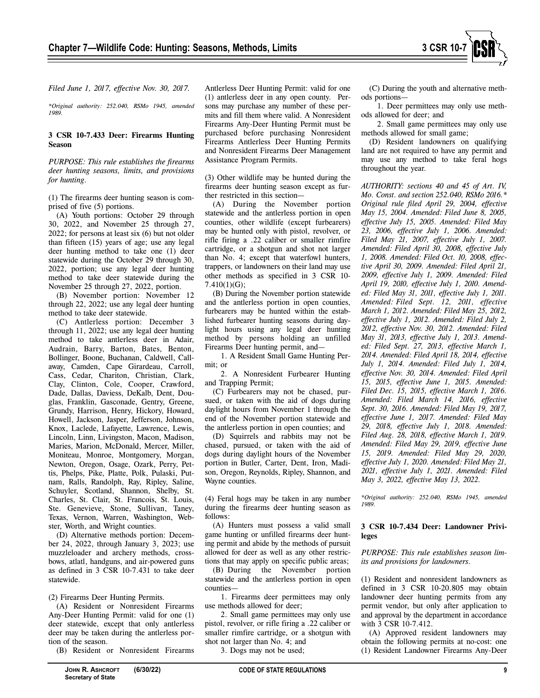

*Filed June 1, 2017, effective Nov. 30, 2017.* 

*\*Original authority: 252.040, RSMo 1945, amended 1989.* 

# **3 CSR 10-7.433 Deer: Firearms Hunting Season**

*PURPOSE: This rule establishes the firearms deer hunting seasons, limits, and provisions for hunting.* 

(1) The firearms deer hunting season is comprised of five (5) portions.

(A) Youth portions: October 29 through 30, 2022, and November 25 through 27, 2022; for persons at least six (6) but not older than fifteen (15) years of age; use any legal deer hunting method to take one (1) deer statewide during the October 29 through 30, 2022, portion; use any legal deer hunting method to take deer statewide during the November 25 through 27, 2022, portion.

(B) November portion: November 12 through 22, 2022; use any legal deer hunting method to take deer statewide.

(C) Antlerless portion: December 3 through 11, 2022; use any legal deer hunting method to take antlerless deer in Adair, Audrain, Barry, Barton, Bates, Benton, Bollinger, Boone, Buchanan, Caldwell, Callaway, Camden, Cape Girardeau, Carroll, Cass, Cedar, Chariton, Christian, Clark, Clay, Clinton, Cole, Cooper, Crawford, Dade, Dallas, Daviess, DeKalb, Dent, Douglas, Franklin, Gasconade, Gentry, Greene, Grundy, Harrison, Henry, Hickory, Howard, Howell, Jackson, Jasper, Jefferson, Johnson, Knox, Laclede, Lafayette, Lawrence, Lewis, Lincoln, Linn, Livingston, Macon, Madison, Maries, Marion, McDonald, Mercer, Miller, Moniteau, Monroe, Montgomery, Morgan, Newton, Oregon, Osage, Ozark, Perry, Pettis, Phelps, Pike, Platte, Polk, Pulaski, Putnam, Ralls, Randolph, Ray, Ripley, Saline, Schuyler, Scotland, Shannon, Shelby, St. Charles, St. Clair, St. Francois, St. Louis, Ste. Genevieve, Stone, Sullivan, Taney, Texas, Vernon, Warren, Washington, Webster, Worth, and Wright counties.

(D) Alternative methods portion: December 24, 2022, through January 3, 2023; use muzzleloader and archery methods, crossbows, atlatl, handguns, and air-powered guns as defined in 3 CSR 10-7.431 to take deer statewide.

#### (2) Firearms Deer Hunting Permits.

(A) Resident or Nonresident Firearms Any-Deer Hunting Permit: valid for one (1) deer statewide, except that only antlerless deer may be taken during the antlerless portion of the season.

(B) Resident or Nonresident Firearms

Antlerless Deer Hunting Permit: valid for one (1) antlerless deer in any open county. Persons may purchase any number of these permits and fill them where valid. A Nonresident Firearms Any-Deer Hunting Permit must be purchased before purchasing Nonresident Firearms Antlerless Deer Hunting Permits and Nonresident Firearms Deer Management Assistance Program Permits.

(3) Other wildlife may be hunted during the firearms deer hunting season except as further restricted in this section—

(A) During the November portion statewide and the antlerless portion in open counties, other wildlife (except furbearers) may be hunted only with pistol, revolver, or rifle firing a .22 caliber or smaller rimfire cartridge, or a shotgun and shot not larger than No. 4; except that waterfowl hunters, trappers, or landowners on their land may use other methods as specified in 3 CSR 10- 7.410(1)(G);

(B) During the November portion statewide and the antlerless portion in open counties, furbearers may be hunted within the established furbearer hunting seasons during daylight hours using any legal deer hunting method by persons holding an unfilled Firearms Deer hunting permit, and—

1. A Resident Small Game Hunting Permit; or

2. A Nonresident Furbearer Hunting and Trapping Permit;

(C) Furbearers may not be chased, pursued, or taken with the aid of dogs during daylight hours from November 1 through the end of the November portion statewide and the antlerless portion in open counties; and

(D) Squirrels and rabbits may not be chased, pursued, or taken with the aid of dogs during daylight hours of the November portion in Butler, Carter, Dent, Iron, Madison, Oregon, Reynolds, Ripley, Shannon, and Wayne counties.

(4) Feral hogs may be taken in any number during the firearms deer hunting season as follows:

(A) Hunters must possess a valid small game hunting or unfilled firearms deer hunting permit and abide by the methods of pursuit allowed for deer as well as any other restrictions that may apply on specific public areas;

(B) During the November portion statewide and the antlerless portion in open counties—

1. Firearms deer permittees may only use methods allowed for deer;

2. Small game permittees may only use pistol, revolver, or rifle firing a .22 caliber or smaller rimfire cartridge, or a shotgun with shot not larger than No. 4; and

3. Dogs may not be used;

(C) During the youth and alternative methods portions—

1. Deer permittees may only use methods allowed for deer; and

2. Small game permittees may only use methods allowed for small game;

(D) Resident landowners on qualifying land are not required to have any permit and may use any method to take feral hogs throughout the year.

*AUTHORITY: sections 40 and 45 of Art. IV, Mo. Const. and section 252.040, RSMo 2016.\* Original rule filed April 29, 2004, effective May 15, 2004. Amended: Filed June 8, 2005, effective July 15, 2005. Amended: Filed May 23, 2006, effective July 1, 2006. Amended: Filed May 21, 2007, effective July 1, 2007. Amended: Filed April 30, 2008, effective July 1, 2008. Amended: Filed Oct. 10, 2008, effective April 30, 2009. Amended: Filed April 21, 2009, effective July 1, 2009. Amended: Filed April 19, 2010, effective July 1, 2010. Amended: Filed May 31, 2011, effective July 1, 2011. Amended: Filed Sept. 12, 2011, effective March 1, 2012. Amended: Filed May 25, 2012, effective July 1, 2012. Amended: Filed July 2, 2012, effective Nov. 30, 2012. Amended: Filed May 31, 2013, effective July 1, 2013. Amended: Filed Sept. 27, 2013, effective March 1, 2014. Amended: Filed April 18, 2014, effective July 1, 2014. Amended: Filed July 1, 2014, effective Nov. 30, 2014. Amended: Filed April 15, 2015, effective June 1, 2015. Amended: Filed Dec. 15, 2015, effective March 1, 2016. Amended: Filed March 14, 2016, effective Sept. 30, 2016. Amended: Filed May 19, 2017, effective June 1, 2017. Amended: Filed May 29, 2018, effective July 1, 2018. Amended: Filed Aug. 28, 2018, effective March 1, 2019. Amended: Filed May 29, 2019, effective June 15, 2019. Amended: Filed May 29, 2020, effective July 1, 2020. Amended: Filed May 21, 2021, effective July 1, 2021. Amended: Filed May 3, 2022, effective May 13, 2022.* 

*\*Original authority: 252.040, RSMo 1945, amended 1989.* 

# **3 CSR 10-7.434 Deer: Landowner Privileges**

*PURPOSE: This rule establishes season limits and provisions for landowners.* 

(1) Resident and nonresident landowners as defined in 3 CSR 10-20.805 may obtain landowner deer hunting permits from any permit vendor, but only after application to and approval by the department in accordance with 3 CSR 10-7.412.

(A) Approved resident landowners may obtain the following permits at no-cost: one (1) Resident Landowner Firearms Any-Deer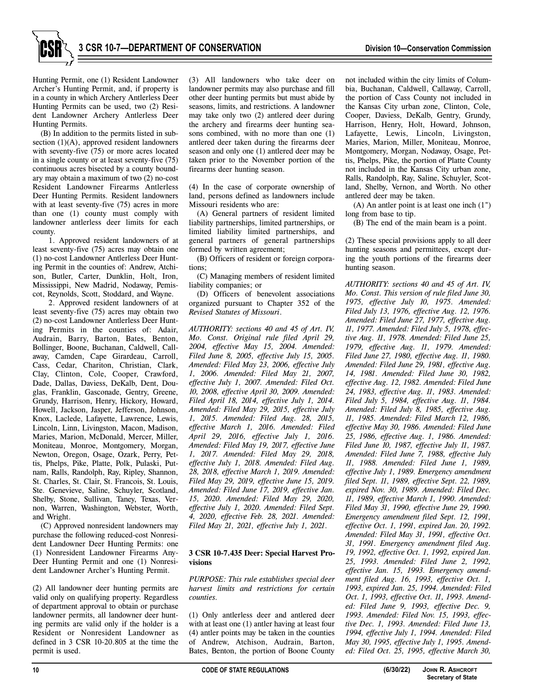

(B) In addition to the permits listed in subsection  $(1)(A)$ , approved resident landowners with seventy-five (75) or more acres located in a single county or at least seventy-five (75) continuous acres bisected by a county boundary may obtain a maximum of two (2) no-cost Resident Landowner Firearms Antlerless Deer Hunting Permits. Resident landowners with at least seventy-five (75) acres in more than one (1) county must comply with landowner antlerless deer limits for each county.

1. Approved resident landowners of at least seventy-five (75) acres may obtain one (1) no-cost Landowner Antlerless Deer Hunting Permit in the counties of: Andrew, Atchison, Butler, Carter, Dunklin, Holt, Iron, Mississippi, New Madrid, Nodaway, Pemiscot, Reynolds, Scott, Stoddard, and Wayne.

2. Approved resident landowners of at least seventy-five (75) acres may obtain two (2) no-cost Landowner Antlerless Deer Hunting Permits in the counties of: Adair, Audrain, Barry, Barton, Bates, Benton, Bollinger, Boone, Buchanan, Caldwell, Callaway, Camden, Cape Girardeau, Carroll, Cass, Cedar, Chariton, Christian, Clark, Clay, Clinton, Cole, Cooper, Crawford, Dade, Dallas, Daviess, DeKalb, Dent, Douglas, Franklin, Gasconade, Gentry, Greene, Grundy, Harrison, Henry, Hickory, Howard, Howell, Jackson, Jasper, Jefferson, Johnson, Knox, Laclede, Lafayette, Lawrence, Lewis, Lincoln, Linn, Livingston, Macon, Madison, Maries, Marion, McDonald, Mercer, Miller, Moniteau, Monroe, Montgomery, Morgan, Newton, Oregon, Osage, Ozark, Perry, Pettis, Phelps, Pike, Platte, Polk, Pulaski, Putnam, Ralls, Randolph, Ray, Ripley, Shannon, St. Charles, St. Clair, St. Francois, St. Louis, Ste. Genevieve, Saline, Schuyler, Scotland, Shelby, Stone, Sullivan, Taney, Texas, Vernon, Warren, Washington, Webster, Worth, and Wright.

(C) Approved nonresident landowners may purchase the following reduced-cost Nonresident Landowner Deer Hunting Permits: one (1) Nonresident Landowner Firearms Any-Deer Hunting Permit and one (1) Nonresident Landowner Archer's Hunting Permit.

(2) All landowner deer hunting permits are valid only on qualifying property. Regardless of department approval to obtain or purchase landowner permits, all landowner deer hunting permits are valid only if the holder is a Resident or Nonresident Landowner as defined in 3 CSR 10-20.805 at the time the permit is used.

(3) All landowners who take deer on landowner permits may also purchase and fill other deer hunting permits but must abide by seasons, limits, and restrictions. A landowner may take only two (2) antlered deer during the archery and firearms deer hunting seasons combined, with no more than one (1) antlered deer taken during the firearms deer season and only one (1) antlered deer may be taken prior to the November portion of the firearms deer hunting season.

(4) In the case of corporate ownership of land, persons defined as landowners include Missouri residents who are:

(A) General partners of resident limited liability partnerships, limited partnerships, or limited liability limited partnerships, and general partners of general partnerships formed by written agreement;

(B) Officers of resident or foreign corporations;

(C) Managing members of resident limited liability companies; or

(D) Officers of benevolent associations organized pursuant to Chapter 352 of the *Revised Statutes of Missouri*.

*AUTHORITY: sections 40 and 45 of Art. IV, Mo. Const. Original rule filed April 29, 2004, effective May 15, 2004. Amended: Filed June 8, 2005, effective July 15, 2005. Amended: Filed May 23, 2006, effective July 1, 2006. Amended: Filed May 21, 2007, effective July 1, 2007. Amended: Filed Oct. 10, 2008, effective April 30, 2009. Amended: Filed April 18, 2014, effective July 1, 2014. Amended: Filed May 29, 2015, effective July 1, 2015. Amended: Filed Aug. 28, 2015, effective March 1, 2016. Amended: Filed April 29, 2016, effective July 1, 2016. Amended: Filed May 19, 2017, effective June 1, 2017. Amended: Filed May 29, 2018, effective July 1, 2018. Amended: Filed Aug. 28, 2018, effective March 1, 2019. Amended: Filed May 29, 2019, effective June 15, 2019. Amended: Filed June 17, 2019, effective Jan. 15, 2020. Amended: Filed May 29, 2020, effective July 1, 2020. Amended: Filed Sept. 4, 2020, effective Feb. 28, 2021. Amended: Filed May 21, 2021, effective July 1, 2021.* 

# **3 CSR 10-7.435 Deer: Special Harvest Provisions**

*PURPOSE: This rule establishes special deer harvest limits and restrictions for certain counties.* 

(1) Only antlerless deer and antlered deer with at least one (1) antler having at least four (4) antler points may be taken in the counties of Andrew, Atchison, Audrain, Barton, Bates, Benton, the portion of Boone County

not included within the city limits of Columbia, Buchanan, Caldwell, Callaway, Carroll, the portion of Cass County not included in the Kansas City urban zone, Clinton, Cole, Cooper, Daviess, DeKalb, Gentry, Grundy, Harrison, Henry, Holt, Howard, Johnson, Lafayette, Lewis, Lincoln, Livingston, Maries, Marion, Miller, Moniteau, Monroe, Montgomery, Morgan, Nodaway, Osage, Pettis, Phelps, Pike, the portion of Platte County not included in the Kansas City urban zone, Ralls, Randolph, Ray, Saline, Schuyler, Scotland, Shelby, Vernon, and Worth. No other antlered deer may be taken.

(A) An antler point is at least one inch (1") long from base to tip.

(B) The end of the main beam is a point.

(2) These special provisions apply to all deer hunting seasons and permittees, except during the youth portions of the firearms deer hunting season.

*AUTHORITY: sections 40 and 45 of Art. IV, Mo. Const. This version of rule filed June 30, 1975, effective July 10, 1975. Amended: Filed July 13, 1976, effective Aug. 12, 1976. Amended: Filed June 27, 1977, effective Aug. 11, 1977. Amended: Filed July 5, 1978, effective Aug. 11, 1978. Amended: Filed June 25, 1979, effective Aug. 11, 1979. Amended: Filed June 27, 1980, effective Aug. 11, 1980. Amended: Filed June 29, 1981, effective Aug. 14, 1981. Amended: Filed June 30, 1982, effective Aug. 12, 1982. Amended: Filed June 24, 1983, effective Aug. 11, 1983. Amended: Filed July 5, 1984, effective Aug. 11, 1984. Amended: Filed July 8, 1985, effective Aug. 11, 1985. Amended: Filed March 12, 1986, effective May 30, 1986. Amended: Filed June 25, 1986, effective Aug. 1, 1986. Amended: Filed June 10, 1987, effective July 11, 1987. Amended: Filed June 7, 1988, effective July 11, 1988. Amended: Filed June 1, 1989, effective July 1, 1989. Emergency amendment filed Sept. 11, 1989, effective Sept. 22, 1989, expired Nov. 30, 1989. Amended: Filed Dec. 11, 1989, effective March 1, 1990. Amended: Filed May 31, 1990, effective June 29, 1990. Emergency amendment filed Sept. 12, 1991, effective Oct. 1, 1991, expired Jan. 20, 1992. Amended: Filed May 31, 1991, effective Oct. 31, 1991. Emergency amendment filed Aug. 19, 1992, effective Oct. 1, 1992, expired Jan. 25, 1993. Amended: Filed June 2, 1992, effective Jan. 15, 1993. Emergency amendment filed Aug. 16, 1993, effective Oct. 1, 1993, expired Jan. 25, 1994. Amended: Filed Oct. 1, 1993, effective Oct. 11, 1993. Amended: Filed June 9, 1993, effective Dec. 9, 1993. Amended: Filed Nov. 15, 1993, effective Dec. 1, 1993. Amended: Filed June 13, 1994, effective July 1, 1994. Amended: Filed May 30, 1995, effective July 1, 1995. Amended: Filed Oct. 25, 1995, effective March 30,*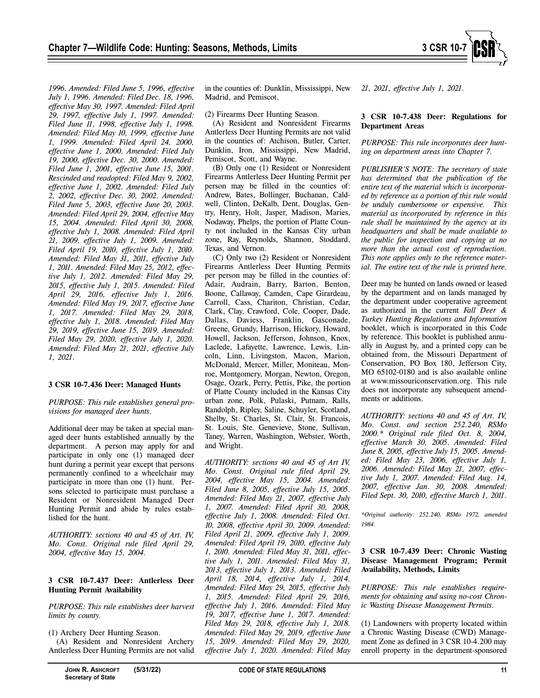

*1996. Amended: Filed June 5, 1996, effective July 1, 1996. Amended: Filed Dec. 18, 1996, effective May 30, 1997. Amended: Filed April 29, 1997, effective July 1, 1997. Amended: Filed June 11, 1998, effective July 1, 1998. Amended: Filed May 10, 1999, effective June 1, 1999. Amended: Filed April 24, 2000, effective June 1, 2000. Amended: Filed July 19, 2000, effective Dec. 30, 2000. Amended: Filed June 1, 2001, effective June 15, 2001. Rescinded and readopted: Filed May 9, 2002, effective June 1, 2002. Amended: Filed July 2, 2002, effective Dec. 30, 2002. Amended: Filed June 5, 2003, effective June 20, 2003. Amended: Filed April 29, 2004, effective May 15, 2004. Amended: Filed April 30, 2008, effective July 1, 2008. Amended: Filed April 21, 2009, effective July 1, 2009. Amended: Filed April 19, 2010, effective July 1, 2010. Amended: Filed May 31, 2011, effective July 1, 2011. Amended: Filed May 25, 2012, effective July 1, 2012. Amended: Filed May 29, 2015, effective July 1, 2015. Amended: Filed April 29, 2016, effective July 1, 2016. Amended: Filed May 19, 2017, effective June 1, 2017. Amended: Filed May 29, 2018, effective July 1, 2018. Amended: Filed May 29, 2019, effective June 15, 2019. Amended: Filed May 29, 2020, effective July 1, 2020. Amended: Filed May 21, 2021, effective July 1, 2021.* 

# **3 CSR 10-7.436 Deer: Managed Hunts**

*PURPOSE: This rule establishes general provisions for managed deer hunts.* 

Additional deer may be taken at special managed deer hunts established annually by the department. A person may apply for and participate in only one (1) managed deer hunt during a permit year except that persons permanently confined to a wheelchair may participate in more than one (1) hunt. Persons selected to participate must purchase a Resident or Nonresident Managed Deer Hunting Permit and abide by rules established for the hunt.

*AUTHORITY: sections 40 and 45 of Art. IV, Mo. Const. Original rule filed April 29, 2004, effective May 15, 2004.* 

# **3 CSR 10-7.437 Deer: Antlerless Deer Hunting Permit Availability**

*PURPOSE: This rule establishes deer harvest limits by county.* 

(1) Archery Deer Hunting Season.

(A) Resident and Nonresident Archery Antlerless Deer Hunting Permits are not valid

in the counties of: Dunklin, Mississippi, New Madrid, and Pemiscot.

(2) Firearms Deer Hunting Season.

(A) Resident and Nonresident Firearms Antlerless Deer Hunting Permits are not valid in the counties of: Atchison, Butler, Carter, Dunklin, Iron, Mississippi, New Madrid, Pemiscot, Scott, and Wayne.

(B) Only one (1) Resident or Nonresident Firearms Antlerless Deer Hunting Permit per person may be filled in the counties of: Andrew, Bates, Bollinger, Buchanan, Caldwell, Clinton, DeKalb, Dent, Douglas, Gentry, Henry, Holt, Jasper, Madison, Maries, Nodaway, Phelps, the portion of Platte County not included in the Kansas City urban zone, Ray, Reynolds, Shannon, Stoddard, Texas, and Vernon.

(C) Only two (2) Resident or Nonresident Firearms Antlerless Deer Hunting Permits per person may be filled in the counties of: Adair, Audrain, Barry, Barton, Benton, Boone, Callaway, Camden, Cape Girardeau, Carroll, Cass, Chariton, Christian, Cedar, Clark, Clay, Crawford, Cole, Cooper, Dade, Dallas, Daviess, Franklin, Gasconade, Greene, Grundy, Harrison, Hickory, Howard, Howell, Jackson, Jefferson, Johnson, Knox, Laclede, Lafayette, Lawrence, Lewis, Lincoln, Linn, Livingston, Macon, Marion, McDonald, Mercer, Miller, Moniteau, Monroe, Montgomery, Morgan, Newton, Oregon, Osage, Ozark, Perry, Pettis, Pike, the portion of Platte County included in the Kansas City urban zone, Polk, Pulaski, Putnam, Ralls, Randolph, Ripley, Saline, Schuyler, Scotland, Shelby, St. Charles, St. Clair, St. Francois, St. Louis, Ste. Genevieve, Stone, Sullivan, Taney, Warren, Washington, Webster, Worth, and Wright.

*AUTHORITY: sections 40 and 45 of Art IV, Mo. Const. Original rule filed April 29, 2004, effective May 15, 2004. Amended: Filed June 8, 2005, effective July 15, 2005. Amended: Filed May 21, 2007, effective July 1, 2007. Amended: Filed April 30, 2008, effective July 1, 2008. Amended: Filed Oct. 10, 2008, effective April 30, 2009. Amended: Filed April 21, 2009, effective July 1, 2009. Amended: Filed April 19, 2010, effective July 1, 2010. Amended: Filed May 31, 2011, effective July 1, 2011. Amended: Filed May 31, 2013, effective July 1, 2013. Amended: Filed April 18, 2014, effective July 1, 2014. Amended: Filed May 29, 2015, effective July 1, 2015. Amended: Filed April 29, 2016, effective July 1, 2016. Amended: Filed May 19, 2017, effective June 1, 2017. Amended: Filed May 29, 2018, effective July 1, 2018. Amended: Filed May 29, 2019, effective June 15, 2019. Amended: Filed May 29, 2020, effective July 1, 2020. Amended: Filed May*  *21, 2021, effective July 1, 2021.* 

# **3 CSR 10-7.438 Deer: Regulations for Department Areas**

*PURPOSE: This rule incorporates deer hunting on department areas into Chapter 7.* 

*PUBLISHER'S NOTE: The secretary of state has determined that the publication of the entire text of the material which is incorporated by reference as a portion of this rule would be unduly cumbersome or expensive. This material as incorporated by reference in this rule shall be maintained by the agency at its headquarters and shall be made available to the public for inspection and copying at no more than the actual cost of reproduction. This note applies only to the reference material. The entire text of the rule is printed here.* 

Deer may be hunted on lands owned or leased by the department and on lands managed by the department under cooperative agreement as authorized in the current *Fall Deer & Turkey Hunting Regulations and Information* booklet, which is incorporated in this Code by reference. This booklet is published annually in August by, and a printed copy can be obtained from, the Missouri Department of Conservation, PO Box 180, Jefferson City, MO 65102-0180 and is also available online at www.missouriconservation.org. This rule does not incorporate any subsequent amendments or additions.

*AUTHORITY: sections 40 and 45 of Art. IV, Mo. Const. and section 252.240, RSMo 2000.\* Original rule filed Oct. 8, 2004, effective March 30, 2005. Amended: Filed June 8, 2005, effective July 15, 2005. Amended: Filed May 23, 2006, effective July 1, 2006. Amended: Filed May 21, 2007, effective July 1, 2007. Amended: Filed Aug. 14, 2007, effective Jan. 30, 2008. Amended: Filed Sept. 30, 2010, effective March 1, 2011.* 

*\*Original authority: 252.240, RSMo 1972, amended 1984.* 

# **3 CSR 10-7.439 Deer: Chronic Wasting Disease Management Program; Permit Availability, Methods, Limits**

*PURPOSE: This rule establishes requirements for obtaining and using no-cost Chronic Wasting Disease Management Permits.* 

(1) Landowners with property located within a Chronic Wasting Disease (CWD) Management Zone as defined in 3 CSR 10-4.200 may enroll property in the department-sponsored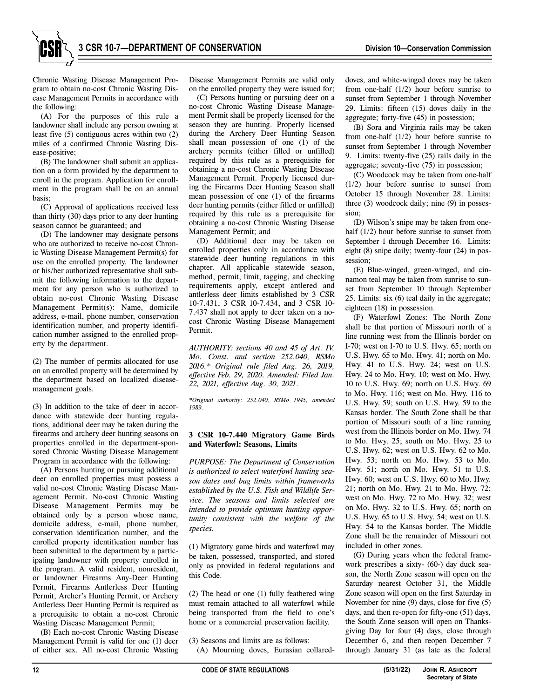Chronic Wasting Disease Management Program to obtain no-cost Chronic Wasting Disease Management Permits in accordance with the following:

(A) For the purposes of this rule a landowner shall include any person owning at least five (5) contiguous acres within two (2) miles of a confirmed Chronic Wasting Disease-positive;

(B) The landowner shall submit an application on a form provided by the department to enroll in the program. Application for enrollment in the program shall be on an annual basis;

(C) Approval of applications received less than thirty (30) days prior to any deer hunting season cannot be guaranteed; and

(D) The landowner may designate persons who are authorized to receive no-cost Chronic Wasting Disease Management Permit(s) for use on the enrolled property. The landowner or his/her authorized representative shall submit the following information to the department for any person who is authorized to obtain no-cost Chronic Wasting Disease Management Permit(s): Name, domicile address, e-mail, phone number, conservation identification number, and property identification number assigned to the enrolled property by the department.

(2) The number of permits allocated for use on an enrolled property will be determined by the department based on localized diseasemanagement goals.

(3) In addition to the take of deer in accordance with statewide deer hunting regulations, additional deer may be taken during the firearms and archery deer hunting seasons on properties enrolled in the department-sponsored Chronic Wasting Disease Management Program in accordance with the following:

(A) Persons hunting or pursuing additional deer on enrolled properties must possess a valid no-cost Chronic Wasting Disease Management Permit. No-cost Chronic Wasting Disease Management Permits may be obtained only by a person whose name, domicile address, e-mail, phone number, conservation identification number, and the enrolled property identification number has been submitted to the department by a participating landowner with property enrolled in the program. A valid resident, nonresident, or landowner Firearms Any-Deer Hunting Permit, Firearms Antlerless Deer Hunting Permit, Archer's Hunting Permit, or Archery Antlerless Deer Hunting Permit is required as a prerequisite to obtain a no-cost Chronic Wasting Disease Management Permit;

(B) Each no-cost Chronic Wasting Disease Management Permit is valid for one (1) deer of either sex. All no-cost Chronic Wasting Disease Management Permits are valid only on the enrolled property they were issued for;

(C) Persons hunting or pursuing deer on a no-cost Chronic Wasting Disease Management Permit shall be properly licensed for the season they are hunting. Properly licensed during the Archery Deer Hunting Season shall mean possession of one (1) of the archery permits (either filled or unfilled) required by this rule as a prerequisite for obtaining a no-cost Chronic Wasting Disease Management Permit. Properly licensed during the Firearms Deer Hunting Season shall mean possession of one (1) of the firearms deer hunting permits (either filled or unfilled) required by this rule as a prerequisite for obtaining a no-cost Chronic Wasting Disease Management Permit; and

(D) Additional deer may be taken on enrolled properties only in accordance with statewide deer hunting regulations in this chapter. All applicable statewide season, method, permit, limit, tagging, and checking requirements apply, except antlered and antlerless deer limits established by 3 CSR 10-7.431, 3 CSR 10-7.434, and 3 CSR 10- 7.437 shall not apply to deer taken on a nocost Chronic Wasting Disease Management Permit.

*AUTHORITY: sections 40 and 45 of Art. IV, Mo. Const. and section 252.040, RSMo 2016.\* Original rule filed Aug. 26, 2019, effective Feb. 29, 2020. Amended: Filed Jan. 22, 2021, effective Aug. 30, 2021.* 

*\*Original authority: 252.040, RSMo 1945, amended 1989.* 

# **3 CSR 10-7.440 Migratory Game Birds and Waterfowl: Seasons, Limits**

*PURPOSE: The Department of Conservation is authorized to select waterfowl hunting season dates and bag limits within frameworks established by the U.S. Fish and Wildlife Service. The seasons and limits selected are intended to provide optimum hunting opportunity consistent with the welfare of the species.* 

(1) Migratory game birds and waterfowl may be taken, possessed, transported, and stored only as provided in federal regulations and this Code.

(2) The head or one (1) fully feathered wing must remain attached to all waterfowl while being transported from the field to one's home or a commercial preservation facility.

(3) Seasons and limits are as follows: (A) Mourning doves, Eurasian collareddoves, and white-winged doves may be taken from one-half (1/2) hour before sunrise to sunset from September 1 through November 29. Limits: fifteen (15) doves daily in the aggregate; forty-five (45) in possession;

(B) Sora and Virginia rails may be taken from one-half (1/2) hour before sunrise to sunset from September 1 through November 9. Limits: twenty-five (25) rails daily in the aggregate; seventy-five (75) in possession;

(C) Woodcock may be taken from one-half (1/2) hour before sunrise to sunset from October 15 through November 28. Limits: three (3) woodcock daily; nine (9) in possession;

(D) Wilson's snipe may be taken from onehalf (1/2) hour before sunrise to sunset from September 1 through December 16. Limits: eight (8) snipe daily; twenty-four (24) in possession;

(E) Blue-winged, green-winged, and cinnamon teal may be taken from sunrise to sunset from September 10 through September 25. Limits: six (6) teal daily in the aggregate; eighteen (18) in possession.

(F) Waterfowl Zones: The North Zone shall be that portion of Missouri north of a line running west from the Illinois border on I-70; west on I-70 to U.S. Hwy. 65; north on U.S. Hwy. 65 to Mo. Hwy. 41; north on Mo. Hwy. 41 to U.S. Hwy. 24; west on U.S. Hwy. 24 to Mo. Hwy. 10; west on Mo. Hwy. 10 to U.S. Hwy. 69; north on U.S. Hwy. 69 to Mo. Hwy. 116; west on Mo. Hwy. 116 to U.S. Hwy. 59; south on U.S. Hwy. 59 to the Kansas border. The South Zone shall be that portion of Missouri south of a line running west from the Illinois border on Mo. Hwy. 74 to Mo. Hwy. 25; south on Mo. Hwy. 25 to U.S. Hwy. 62; west on U.S. Hwy. 62 to Mo. Hwy. 53; north on Mo. Hwy. 53 to Mo. Hwy. 51; north on Mo. Hwy. 51 to U.S. Hwy. 60; west on U.S. Hwy. 60 to Mo. Hwy. 21; north on Mo. Hwy. 21 to Mo. Hwy. 72; west on Mo. Hwy. 72 to Mo. Hwy. 32; west on Mo. Hwy. 32 to U.S. Hwy. 65; north on U.S. Hwy. 65 to U.S. Hwy. 54; west on U.S. Hwy. 54 to the Kansas border. The Middle Zone shall be the remainder of Missouri not included in other zones.

(G) During years when the federal framework prescribes a sixty- (60-) day duck season, the North Zone season will open on the Saturday nearest October 31, the Middle Zone season will open on the first Saturday in November for nine (9) days, close for five (5) days, and then re-open for fifty-one (51) days, the South Zone season will open on Thanksgiving Day for four (4) days, close through December 6, and then reopen December 7 through January 31 (as late as the federal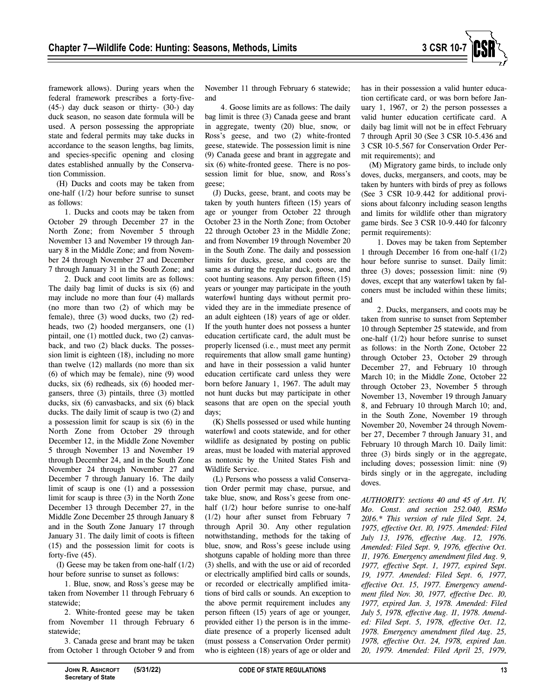

framework allows). During years when the federal framework prescribes a forty-five- (45-) day duck season or thirty- (30-) day duck season, no season date formula will be used. A person possessing the appropriate state and federal permits may take ducks in accordance to the season lengths, bag limits, and species-specific opening and closing dates established annually by the Conservation Commission.

(H) Ducks and coots may be taken from one-half (1/2) hour before sunrise to sunset as follows:

1. Ducks and coots may be taken from October 29 through December 27 in the North Zone; from November 5 through November 13 and November 19 through January 8 in the Middle Zone; and from November 24 through November 27 and December 7 through January 31 in the South Zone; and

2. Duck and coot limits are as follows: The daily bag limit of ducks is six (6) and may include no more than four (4) mallards (no more than two (2) of which may be female), three (3) wood ducks, two (2) redheads, two (2) hooded mergansers, one (1) pintail, one (1) mottled duck, two (2) canvasback, and two (2) black ducks. The possession limit is eighteen (18), including no more than twelve (12) mallards (no more than six (6) of which may be female), nine (9) wood ducks, six (6) redheads, six (6) hooded mergansers, three (3) pintails, three (3) mottled ducks, six (6) canvasbacks, and six (6) black ducks. The daily limit of scaup is two (2) and a possession limit for scaup is six (6) in the North Zone from October 29 through December 12, in the Middle Zone November 5 through November 13 and November 19 through December 24, and in the South Zone November 24 through November 27 and December 7 through January 16. The daily limit of scaup is one (1) and a possession limit for scaup is three (3) in the North Zone December 13 through December 27, in the Middle Zone December 25 through January 8 and in the South Zone January 17 through January 31. The daily limit of coots is fifteen (15) and the possession limit for coots is forty-five (45).

(I) Geese may be taken from one-half (1/2) hour before sunrise to sunset as follows:

1. Blue, snow, and Ross's geese may be taken from November 11 through February 6 statewide;

2. White-fronted geese may be taken from November 11 through February 6 statewide;

3. Canada geese and brant may be taken from October 1 through October 9 and from November 11 through February 6 statewide; and

4. Goose limits are as follows: The daily bag limit is three (3) Canada geese and brant in aggregate, twenty (20) blue, snow, or Ross's geese, and two (2) white-fronted geese, statewide. The possession limit is nine (9) Canada geese and brant in aggregate and six (6) white-fronted geese. There is no possession limit for blue, snow, and Ross's geese;

(J) Ducks, geese, brant, and coots may be taken by youth hunters fifteen (15) years of age or younger from October 22 through October 23 in the North Zone; from October 22 through October 23 in the Middle Zone; and from November 19 through November 20 in the South Zone. The daily and possession limits for ducks, geese, and coots are the same as during the regular duck, goose, and coot hunting seasons. Any person fifteen (15) years or younger may participate in the youth waterfowl hunting days without permit provided they are in the immediate presence of an adult eighteen (18) years of age or older. If the youth hunter does not possess a hunter education certificate card, the adult must be properly licensed (i.e., must meet any permit requirements that allow small game hunting) and have in their possession a valid hunter education certificate card unless they were born before January 1, 1967. The adult may not hunt ducks but may participate in other seasons that are open on the special youth days;

(K) Shells possessed or used while hunting waterfowl and coots statewide, and for other wildlife as designated by posting on public areas, must be loaded with material approved as nontoxic by the United States Fish and Wildlife Service.

(L) Persons who possess a valid Conservation Order permit may chase, pursue, and take blue, snow, and Ross's geese from onehalf  $(1/2)$  hour before sunrise to one-half (1/2) hour after sunset from February 7 through April 30. Any other regulation notwithstanding, methods for the taking of blue, snow, and Ross's geese include using shotguns capable of holding more than three (3) shells, and with the use or aid of recorded or electrically amplified bird calls or sounds, or recorded or electrically amplified imitations of bird calls or sounds. An exception to the above permit requirement includes any person fifteen (15) years of age or younger, provided either 1) the person is in the immediate presence of a properly licensed adult (must possess a Conservation Order permit) who is eighteen (18) years of age or older and

has in their possession a valid hunter education certificate card, or was born before January 1, 1967, or 2) the person possesses a valid hunter education certificate card. A daily bag limit will not be in effect February 7 through April 30 (See 3 CSR 10-5.436 and 3 CSR 10-5.567 for Conservation Order Permit requirements); and

(M) Migratory game birds, to include only doves, ducks, mergansers, and coots, may be taken by hunters with birds of prey as follows (See 3 CSR 10-9.442 for additional provisions about falconry including season lengths and limits for wildlife other than migratory game birds. See 3 CSR 10-9.440 for falconry permit requirements):

1. Doves may be taken from September 1 through December 16 from one-half (1/2) hour before sunrise to sunset. Daily limit: three (3) doves; possession limit: nine (9) doves, except that any waterfowl taken by falconers must be included within these limits; and

2. Ducks, mergansers, and coots may be taken from sunrise to sunset from September 10 through September 25 statewide, and from one-half (1/2) hour before sunrise to sunset as follows: in the North Zone, October 22 through October 23, October 29 through December 27, and February 10 through March 10; in the Middle Zone, October 22 through October 23, November 5 through November 13, November 19 through January 8, and February 10 through March 10; and, in the South Zone, November 19 through November 20, November 24 through November 27, December 7 through January 31, and February 10 through March 10. Daily limit: three (3) birds singly or in the aggregate, including doves; possession limit: nine (9) birds singly or in the aggregate, including doves.

*AUTHORITY: sections 40 and 45 of Art. IV, Mo. Const. and section 252.040, RSMo 2016.\* This version of rule filed Sept. 24, 1975, effective Oct. 10, 1975. Amended: Filed July 13, 1976, effective Aug. 12, 1976. Amended: Filed Sept. 9, 1976, effective Oct. 11, 1976. Emergency amendment filed Aug. 9, 1977, effective Sept. 1, 1977, expired Sept. 19, 1977. Amended: Filed Sept. 6, 1977, effective Oct. 15, 1977. Emergency amendment filed Nov. 30, 1977, effective Dec. 10, 1977, expired Jan. 3, 1978. Amended: Filed July 5, 1978, effective Aug. 11, 1978. Amended: Filed Sept. 5, 1978, effective Oct. 12, 1978. Emergency amendment filed Aug. 25, 1978, effective Oct. 24, 1978, expired Jan. 20, 1979. Amended: Filed April 25, 1979,*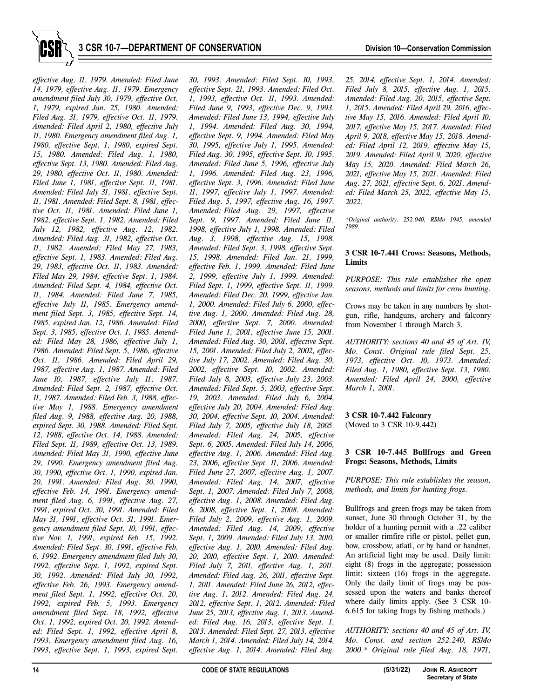

*effective Aug. 11, 1979. Amended: Filed June 14, 1979, effective Aug. 11, 1979. Emergency amendment filed July 30, 1979, effective Oct. 1, 1979, expired Jan. 25, 1980. Amended: Filed Aug. 31, 1979, effective Oct. 11, 1979. Amended: Filed April 2, 1980, effective July 11, 1980. Emergency amendment filed Aug. 1, 1980, effective Sept. 1, 1980, expired Sept. 15, 1980. Amended: Filed Aug. 1, 1980, effective Sept. 13, 1980. Amended: Filed Aug. 29, 1980, effective Oct. 11, 1980. Amended: Filed June 1, 1981, effective Sept. 11, 1981. Amended: Filed July 31, 1981, effective Sept. 11, 1981. Amended: Filed Sept. 8, 1981, effective Oct. 11, 1981. Amended: Filed June 1, 1982, effective Sept. 1, 1982. Amended: Filed July 12, 1982, effective Aug. 12, 1982. Amended: Filed Aug. 31, 1982, effective Oct. 11, 1982. Amended: Filed May 27, 1983, effective Sept. 1, 1983. Amended: Filed Aug. 29, 1983, effective Oct. 11, 1983. Amended: Filed May 29, 1984, effective Sept. 1, 1984. Amended: Filed Sept. 4, 1984, effective Oct. 11, 1984. Amended: Filed June 7, 1985, effective July 11, 1985. Emergency amendment filed Sept. 3, 1985, effective Sept. 14, 1985, expired Jan. 12, 1986. Amended: Filed Sept. 3, 1985, effective Oct. 1, 1985. Amended: Filed May 28, 1986, effective July 1, 1986. Amended: Filed Sept. 5, 1986, effective Oct. 11, 1986. Amended: Filed April 29, 1987, effective Aug. 1, 1987. Amended: Filed June 10, 1987, effective July 11, 1987. Amended: Filed Sept. 2, 1987, effective Oct. 11, 1987. Amended: Filed Feb. 3, 1988, effective May 1, 1988. Emergency amendment filed Aug. 9, 1988, effective Aug. 20, 1988, expired Sept. 30, 1988. Amended: Filed Sept. 12, 1988, effective Oct. 14, 1988. Amended: Filed Sept. 11, 1989, effective Oct. 13, 1989. Amended: Filed May 31, 1990, effective June 29, 1990. Emergency amendment filed Aug. 30, 1990, effective Oct. 1, 1990, expired Jan. 20, 1991. Amended: Filed Aug. 30, 1990, effective Feb. 14, 1991. Emergency amendment filed Aug. 6, 1991, effective Aug. 27, 1991, expired Oct. 30, 1991. Amended: Filed May 31, 1991, effective Oct. 31, 1991. Emergency amendment filed Sept. 10, 1991, effective Nov. 1, 1991, expired Feb. 15, 1992. Amended: Filed Sept. 10, 1991, effective Feb. 6, 1992. Emergency amendment filed July 30, 1992, effective Sept. 1, 1992, expired Sept. 30, 1992. Amended: Filed July 30, 1992, effective Feb. 26, 1993. Emergency amendment filed Sept. 1, 1992, effective Oct. 20, 1992, expired Feb. 5, 1993. Emergency amendment filed Sept. 18, 1992, effective Oct. 1, 1992, expired Oct. 20, 1992. Amended: Filed Sept. 1, 1992, effective April 8, 1993. Emergency amendment filed Aug. 16, 1993, effective Sept. 1, 1993, expired Sept.* 

*30, 1993. Amended: Filed Sept. 10, 1993, effective Sept. 21, 1993. Amended: Filed Oct. 1, 1993, effective Oct. 11, 1993. Amended: Filed June 9, 1993, effective Dec. 9, 1993. Amended: Filed June 13, 1994, effective July 1, 1994. Amended: Filed Aug. 30, 1994, effective Sept. 9, 1994. Amended: Filed May 30, 1995, effective July 1, 1995. Amended: Filed Aug. 30, 1995, effective Sept. 10, 1995. Amended: Filed June 5, 1996, effective July 1, 1996. Amended: Filed Aug. 23, 1996, effective Sept. 3, 1996. Amended: Filed June 11, 1997, effective July 1, 1997. Amended: Filed Aug. 5, 1997, effective Aug. 16, 1997. Amended: Filed Aug. 29, 1997, effective Sept. 9, 1997. Amended: Filed June 11, 1998, effective July 1, 1998. Amended: Filed Aug. 3, 1998, effective Aug. 15, 1998. Amended: Filed Sept. 3, 1998, effective Sept. 15, 1998. Amended: Filed Jan. 21, 1999, effective Feb. 1, 1999. Amended: Filed June 2, 1999, effective July 1, 1999. Amended: Filed Sept. 1, 1999, effective Sept. 11, 1999. Amended: Filed Dec. 20, 1999, effective Jan. 1, 2000. Amended: Filed July 6, 2000, effective Aug. 1, 2000. Amended: Filed Aug. 28, 2000, effective Sept. 7, 2000. Amended: Filed June 1, 2001, effective June 15, 2001. Amended: Filed Aug. 30, 2001, effective Sept. 15, 2001. Amended: Filed July 2, 2002, effective July 17, 2002. Amended: Filed Aug. 30, 2002, effective Sept. 10, 2002. Amended: Filed July 8, 2003, effective July 23, 2003. Amended: Filed Sept. 5, 2003, effective Sept. 19, 2003. Amended: Filed July 6, 2004, effective July 20, 2004. Amended: Filed Aug. 30, 2004, effective Sept. 10, 2004. Amended: Filed July 7, 2005, effective July 18, 2005. Amended: Filed Aug. 24, 2005, effective Sept. 6, 2005. Amended: Filed July 14, 2006, effective Aug. 1, 2006. Amended: Filed Aug. 23, 2006, effective Sept. 11, 2006. Amended: Filed June 27, 2007, effective Aug. 1, 2007. Amended: Filed Aug. 14, 2007, effective Sept. 1, 2007. Amended: Filed July 7, 2008, effective Aug. 1, 2008. Amended: Filed Aug. 6, 2008, effective Sept. 1, 2008. Amended: Filed July 2, 2009, effective Aug. 1, 2009. Amended: Filed Aug. 14, 2009, effective Sept. 1, 2009. Amended: Filed July 13, 2010, effective Aug. 1, 2010. Amended: Filed Aug. 20, 2010, effective Sept. 1, 2010. Amended: Filed July 7, 2011, effective Aug. 1, 2011. Amended: Filed Aug. 26, 2011, effective Sept. 1, 2011. Amended: Filed June 26, 2012, effective Aug. 1, 2012. Amended: Filed Aug. 24, 2012, effective Sept. 1, 2012. Amended: Filed June 25, 2013, effective Aug. 1, 2013. Amended: Filed Aug. 16, 2013, effective Sept. 1, 2013. Amended: Filed Sept. 27, 2013, effective March 1, 2014. Amended: Filed July 14, 2014, effective Aug. 1, 2014. Amended: Filed Aug.* 

*25, 2014, effective Sept. 1, 2014. Amended: Filed July 8, 2015, effective Aug. 1, 2015. Amended: Filed Aug. 20, 2015, effective Sept. 1, 2015. Amended: Filed April 29, 2016, effective May 15, 2016. Amended: Filed April 10, 2017, effective May 15, 2017. Amended: Filed April 9, 2018, effective May 15, 2018. Amended: Filed April 12, 2019, effective May 15, 2019. Amended: Filed April 9, 2020, effective May 15, 2020. Amended: Filed March 26, 2021, effective May 15, 2021. Amended: Filed Aug. 27, 2021, effective Sept. 6, 2021. Amended: Filed March 25, 2022, effective May 15, 2022.* 

*\*Original authority: 252.040, RSMo 1945, amended 1989.* 

# **3 CSR 10-7.441 Crows: Seasons, Methods, Limits**

*PURPOSE: This rule establishes the open seasons, methods and limits for crow hunting.* 

Crows may be taken in any numbers by shotgun, rifle, handguns, archery and falconry from November 1 through March 3.

*AUTHORITY: sections 40 and 45 of Art. IV, Mo. Const. Original rule filed Sept. 25, 1973, effective Oct. 10, 1973. Amended: Filed Aug. 1, 1980, effective Sept. 13, 1980. Amended: Filed April 24, 2000, effective March 1, 2001.* 

# **3 CSR 10-7.442 Falconry**  (Moved to 3 CSR 10-9.442)

# **3 CSR 10-7.445 Bullfrogs and Green Frogs: Seasons, Methods, Limits**

*PURPOSE: This rule establishes the season, methods, and limits for hunting frogs.* 

Bullfrogs and green frogs may be taken from sunset, June 30 through October 31, by the holder of a hunting permit with a .22 caliber or smaller rimfire rifle or pistol, pellet gun, bow, crossbow, atlatl, or by hand or handnet. An artificial light may be used. Daily limit: eight (8) frogs in the aggregate; possession limit: sixteen (16) frogs in the aggregate. Only the daily limit of frogs may be possessed upon the waters and banks thereof where daily limits apply. (See 3 CSR 10- 6.615 for taking frogs by fishing methods.)

*AUTHORITY: sections 40 and 45 of Art. IV, Mo. Const. and section 252.240, RSMo 2000.\* Original rule filed Aug. 18, 1971,*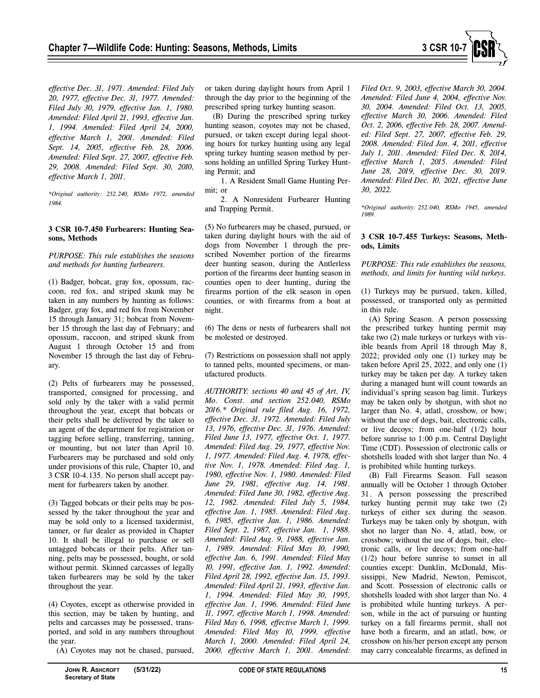*effective Dec. 31, 1971. Amended: Filed July 20, 1977, effective Dec. 31, 1977. Amended: Filed July 30, 1979, effective Jan. 1, 1980. Amended: Filed April 21, 1993, effective Jan. 1, 1994. Amended: Filed April 24, 2000, effective March 1, 2001. Amended: Filed Sept. 14, 2005, effective Feb. 28, 2006. Amended: Filed Sept. 27, 2007, effective Feb. 29, 2008. Amended: Filed Sept. 30, 2010, effective March 1, 2011.* 

*\*Original authority: 252.240, RSMo 1972, amended 1984.* 

#### **3 CSR 10-7.450 Furbearers: Hunting Seasons, Methods**

*PURPOSE: This rule establishes the seasons and methods for hunting furbearers.* 

(1) Badger, bobcat, gray fox, opossum, raccoon, red fox, and striped skunk may be taken in any numbers by hunting as follows: Badger, gray fox, and red fox from November 15 through January 31; bobcat from November 15 through the last day of February; and opossum, raccoon, and striped skunk from August 1 through October 15 and from November 15 through the last day of February.

(2) Pelts of furbearers may be possessed, transported, consigned for processing, and sold only by the taker with a valid permit throughout the year, except that bobcats or their pelts shall be delivered by the taker to an agent of the department for registration or tagging before selling, transferring, tanning, or mounting, but not later than April 10. Furbearers may be purchased and sold only under provisions of this rule, Chapter 10, and 3 CSR 10-4.135. No person shall accept payment for furbearers taken by another.

(3) Tagged bobcats or their pelts may be possessed by the taker throughout the year and may be sold only to a licensed taxidermist, tanner, or fur dealer as provided in Chapter 10. It shall be illegal to purchase or sell untagged bobcats or their pelts. After tanning, pelts may be possessed, bought, or sold without permit. Skinned carcasses of legally taken furbearers may be sold by the taker throughout the year.

(4) Coyotes, except as otherwise provided in this section, may be taken by hunting, and pelts and carcasses may be possessed, transported, and sold in any numbers throughout the year.

(A) Coyotes may not be chased, pursued,

or taken during daylight hours from April 1 through the day prior to the beginning of the prescribed spring turkey hunting season.

(B) During the prescribed spring turkey hunting season, coyotes may not be chased, pursued, or taken except during legal shooting hours for turkey hunting using any legal spring turkey hunting season method by persons holding an unfilled Spring Turkey Hunting Permit; and

1. A Resident Small Game Hunting Permit; or

2. A Nonresident Furbearer Hunting and Trapping Permit.

(5) No furbearers may be chased, pursued, or taken during daylight hours with the aid of dogs from November 1 through the prescribed November portion of the firearms deer hunting season, during the Antlerless portion of the firearms deer hunting season in counties open to deer hunting, during the firearms portion of the elk season in open counties, or with firearms from a boat at night.

(6) The dens or nests of furbearers shall not be molested or destroyed.

(7) Restrictions on possession shall not apply to tanned pelts, mounted specimens, or manufactured products.

*AUTHORITY: sections 40 and 45 of Art. IV, Mo. Const. and section 252.040, RSMo 2016.\* Original rule filed Aug. 16, 1972, effective Dec. 31, 1972. Amended: Filed July 13, 1976, effective Dec. 31, 1976. Amended: Filed June 13, 1977, effective Oct. 1, 1977. Amended: Filed Aug. 29, 1977, effective Nov. 1, 1977. Amended: Filed Aug. 4, 1978, effective Nov. 1, 1978. Amended: Filed Aug. 1, 1980, effective Nov. 1, 1980. Amended: Filed June 29, 1981, effective Aug. 14, 1981. Amended: Filed June 30, 1982, effective Aug. 12, 1982. Amended: Filed July 5, 1984, effective Jan. 1, 1985. Amended: Filed Aug. 6, 1985, effective Jan. 1, 1986. Amended: Filed Sept. 2, 1987, effective Jan. 1, 1988. Amended: Filed Aug. 9, 1988, effective Jan. 1, 1989. Amended: Filed May 10, 1990, effective Jan. 6, 1991. Amended: Filed May 10, 1991, effective Jan. 1, 1992. Amended: Filed April 28, 1992, effective Jan. 15, 1993. Amended: Filed April 21, 1993, effective Jan. 1, 1994. Amended: Filed May 30, 1995, effective Jan. 1, 1996. Amended: Filed June 11, 1997, effective March 1, 1998. Amended: Filed May 6, 1998, effective March 1, 1999. Amended: Filed May 10, 1999, effective March 1, 2000. Amended: Filed April 24, 2000, effective March 1, 2001. Amended:*  *Filed Oct. 9, 2003, effective March 30, 2004. Amended: Filed June 4, 2004, effective Nov. 30, 2004. Amended: Filed Oct. 13, 2005, effective March 30, 2006. Amended: Filed Oct. 2, 2006, effective Feb. 28, 2007. Amended: Filed Sept. 27, 2007, effective Feb. 29, 2008. Amended: Filed Jan. 4, 2011, effective July 1, 2011. Amended: Filed Dec. 8, 2014, effective March 1, 2015. Amended: Filed June 28, 2019, effective Dec. 30, 2019. Amended: Filed Dec. 10, 2021, effective June 30, 2022.* 

*\*Original authority: 252.040, RSMo 1945, amended 1989.* 

# **3 CSR 10-7.455 Turkeys: Seasons, Methods, Limits**

*PURPOSE: This rule establishes the seasons, methods, and limits for hunting wild turkeys.* 

(1) Turkeys may be pursued, taken, killed, possessed, or transported only as permitted in this rule.

(A) Spring Season. A person possessing the prescribed turkey hunting permit may take two (2) male turkeys or turkeys with visible beards from April 18 through May 8, 2022; provided only one (1) turkey may be taken before April 25, 2022, and only one (1) turkey may be taken per day. A turkey taken during a managed hunt will count towards an individual's spring season bag limit. Turkeys may be taken only by shotgun, with shot no larger than No. 4, atlatl, crossbow, or bow; without the use of dogs, bait, electronic calls, or live decoys; from one-half (1/2) hour before sunrise to 1:00 p.m. Central Daylight Time (CDT). Possession of electronic calls or shotshells loaded with shot larger than No. 4 is prohibited while hunting turkeys.

(B) Fall Firearms Season. Fall season annually will be October 1 through October 31. A person possessing the prescribed turkey hunting permit may take two (2) turkeys of either sex during the season. Turkeys may be taken only by shotgun, with shot no larger than No. 4, atlatl, bow, or crossbow; without the use of dogs, bait, electronic calls, or live decoys; from one-half (1/2) hour before sunrise to sunset in all counties except: Dunklin, McDonald, Mississippi, New Madrid, Newton, Pemiscot, and Scott. Possession of electronic calls or shotshells loaded with shot larger than No. 4 is prohibited while hunting turkeys. A person, while in the act of pursuing or hunting turkey on a fall firearms permit, shall not have both a firearm, and an atlatl, bow, or crossbow on his/her person except any person may carry concealable firearms, as defined in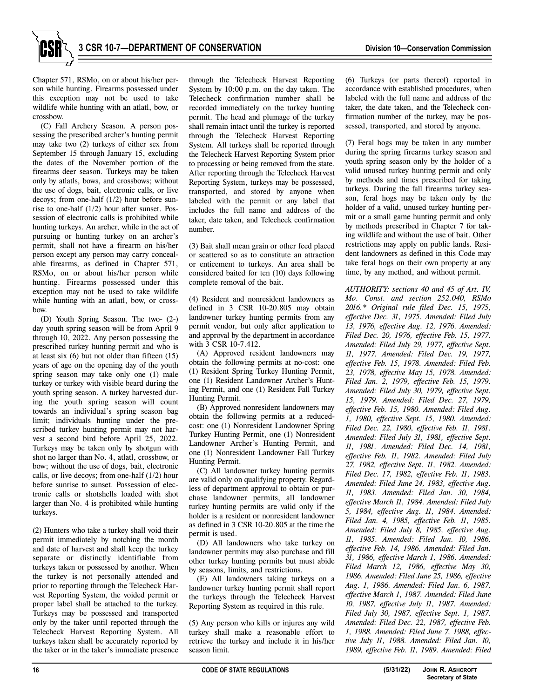Chapter 571, RSMo, on or about his/her person while hunting. Firearms possessed under this exception may not be used to take wildlife while hunting with an atlatl, bow, or crossbow.

(C) Fall Archery Season. A person possessing the prescribed archer's hunting permit may take two (2) turkeys of either sex from September 15 through January 15, excluding the dates of the November portion of the firearms deer season. Turkeys may be taken only by atlatls, bows, and crossbows; without the use of dogs, bait, electronic calls, or live decoys; from one-half (1/2) hour before sunrise to one-half (1/2) hour after sunset. Possession of electronic calls is prohibited while hunting turkeys. An archer, while in the act of pursuing or hunting turkey on an archer's permit, shall not have a firearm on his/her person except any person may carry concealable firearms, as defined in Chapter 571, RSMo, on or about his/her person while hunting. Firearms possessed under this exception may not be used to take wildlife while hunting with an atlatl, bow, or crossbow.

(D) Youth Spring Season. The two- (2-) day youth spring season will be from April 9 through 10, 2022. Any person possessing the prescribed turkey hunting permit and who is at least six (6) but not older than fifteen (15) years of age on the opening day of the youth spring season may take only one (1) male turkey or turkey with visible beard during the youth spring season. A turkey harvested during the youth spring season will count towards an individual's spring season bag limit; individuals hunting under the prescribed turkey hunting permit may not harvest a second bird before April 25, 2022. Turkeys may be taken only by shotgun with shot no larger than No. 4, atlatl, crossbow, or bow; without the use of dogs, bait, electronic calls, or live decoys; from one-half (1/2) hour before sunrise to sunset. Possession of electronic calls or shotshells loaded with shot larger than No. 4 is prohibited while hunting turkeys.

(2) Hunters who take a turkey shall void their permit immediately by notching the month and date of harvest and shall keep the turkey separate or distinctly identifiable from turkeys taken or possessed by another. When the turkey is not personally attended and prior to reporting through the Telecheck Harvest Reporting System, the voided permit or proper label shall be attached to the turkey. Turkeys may be possessed and transported only by the taker until reported through the Telecheck Harvest Reporting System. All turkeys taken shall be accurately reported by the taker or in the taker's immediate presence through the Telecheck Harvest Reporting System by 10:00 p.m. on the day taken. The Telecheck confirmation number shall be recorded immediately on the turkey hunting permit. The head and plumage of the turkey shall remain intact until the turkey is reported through the Telecheck Harvest Reporting System. All turkeys shall be reported through the Telecheck Harvest Reporting System prior to processing or being removed from the state. After reporting through the Telecheck Harvest Reporting System, turkeys may be possessed, transported, and stored by anyone when labeled with the permit or any label that includes the full name and address of the taker, date taken, and Telecheck confirmation number.

(3) Bait shall mean grain or other feed placed or scattered so as to constitute an attraction or enticement to turkeys. An area shall be considered baited for ten (10) days following complete removal of the bait.

(4) Resident and nonresident landowners as defined in 3 CSR 10-20.805 may obtain landowner turkey hunting permits from any permit vendor, but only after application to and approval by the department in accordance with 3 CSR 10-7.412.

(A) Approved resident landowners may obtain the following permits at no-cost: one (1) Resident Spring Turkey Hunting Permit, one (1) Resident Landowner Archer's Hunting Permit, and one (1) Resident Fall Turkey Hunting Permit.

(B) Approved nonresident landowners may obtain the following permits at a reducedcost: one (1) Nonresident Landowner Spring Turkey Hunting Permit, one (1) Nonresident Landowner Archer's Hunting Permit, and one (1) Nonresident Landowner Fall Turkey Hunting Permit.

(C) All landowner turkey hunting permits are valid only on qualifying property. Regardless of department approval to obtain or purchase landowner permits, all landowner turkey hunting permits are valid only if the holder is a resident or nonresident landowner as defined in 3 CSR 10-20.805 at the time the permit is used.

(D) All landowners who take turkey on landowner permits may also purchase and fill other turkey hunting permits but must abide by seasons, limits, and restrictions.

(E) All landowners taking turkeys on a landowner turkey hunting permit shall report the turkeys through the Telecheck Harvest Reporting System as required in this rule.

(5) Any person who kills or injures any wild turkey shall make a reasonable effort to retrieve the turkey and include it in his/her season limit.

(6) Turkeys (or parts thereof) reported in accordance with established procedures, when labeled with the full name and address of the taker, the date taken, and the Telecheck confirmation number of the turkey, may be possessed, transported, and stored by anyone.

(7) Feral hogs may be taken in any number during the spring firearms turkey season and youth spring season only by the holder of a valid unused turkey hunting permit and only by methods and times prescribed for taking turkeys. During the fall firearms turkey season, feral hogs may be taken only by the holder of a valid, unused turkey hunting permit or a small game hunting permit and only by methods prescribed in Chapter 7 for taking wildlife and without the use of bait. Other restrictions may apply on public lands. Resident landowners as defined in this Code may take feral hogs on their own property at any time, by any method, and without permit.

*AUTHORITY: sections 40 and 45 of Art. IV, Mo. Const. and section 252.040, RSMo 2016.\* Original rule filed Dec. 15, 1975, effective Dec. 31, 1975. Amended: Filed July 13, 1976, effective Aug. 12, 1976. Amended: Filed Dec. 20, 1976, effective Feb. 15, 1977. Amended: Filed July 29, 1977, effective Sept. 11, 1977. Amended: Filed Dec. 19, 1977, effective Feb. 15, 1978. Amended: Filed Feb. 23, 1978, effective May 15, 1978. Amended: Filed Jan. 2, 1979, effective Feb. 15, 1979. Amended: Filed July 30, 1979, effective Sept. 15, 1979. Amended: Filed Dec. 27, 1979, effective Feb. 15, 1980. Amended: Filed Aug. 1, 1980, effective Sept. 15, 1980. Amended: Filed Dec. 22, 1980, effective Feb. 11, 1981. Amended: Filed July 31, 1981, effective Sept. 11, 1981. Amended: Filed Dec. 14, 1981, effective Feb. 11, 1982. Amended: Filed July 27, 1982, effective Sept. 11, 1982. Amended: Filed Dec. 17, 1982, effective Feb. 11, 1983. Amended: Filed June 24, 1983, effective Aug. 11, 1983. Amended: Filed Jan. 30, 1984, effective March 11, 1984. Amended: Filed July 5, 1984, effective Aug. 11, 1984. Amended: Filed Jan. 4, 1985, effective Feb. 11, 1985. Amended: Filed July 8, 1985, effective Aug. 11, 1985. Amended: Filed Jan. 10, 1986, effective Feb. 14, 1986. Amended: Filed Jan. 31, 1986, effective March 1, 1986. Amended: Filed March 12, 1986, effective May 30, 1986. Amended: Filed June 25, 1986, effective Aug. 1, 1986. Amended: Filed Jan. 6, 1987, effective March 1, 1987. Amended: Filed June 10, 1987, effective July 11, 1987. Amended: Filed July 30, 1987, effective Sept. 1, 1987. Amended: Filed Dec. 22, 1987, effective Feb. 1, 1988. Amended: Filed June 7, 1988, effective July 11, 1988. Amended: Filed Jan. 10, 1989, effective Feb. 11, 1989. Amended: Filed*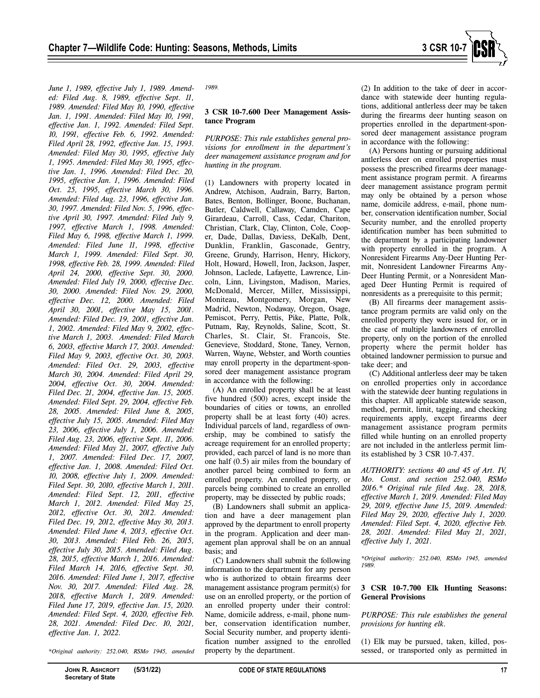

*June 1, 1989, effective July 1, 1989. Amended: Filed Aug. 8, 1989, effective Sept. 11, 1989. Amended: Filed May 10, 1990, effective Jan. 1, 1991. Amended: Filed May 10, 1991, effective Jan. 1, 1992. Amended: Filed Sept. 10, 1991, effective Feb. 6, 1992. Amended: Filed April 28, 1992, effective Jan. 15, 1993. Amended: Filed May 30, 1995, effective July 1, 1995. Amended: Filed May 30, 1995, effective Jan. 1, 1996. Amended: Filed Dec. 20, 1995, effective Jan. 1, 1996. Amended: Filed Oct. 25, 1995, effective March 30, 1996. Amended: Filed Aug. 23, 1996, effective Jan. 30, 1997. Amended: Filed Nov. 5, 1996, effective April 30, 1997. Amended: Filed July 9, 1997, effective March 1, 1998. Amended: Filed May 6, 1998, effective March 1, 1999. Amended: Filed June 11, 1998, effective March 1, 1999. Amended: Filed Sept. 30, 1998, effective Feb. 28, 1999. Amended: Filed April 24, 2000, effective Sept. 30, 2000. Amended: Filed July 19, 2000, effective Dec. 30, 2000. Amended: Filed Nov. 29, 2000, effective Dec. 12, 2000. Amended: Filed April 30, 2001, effective May 15, 2001. Amended: Filed Dec. 19, 2001, effective Jan. 1, 2002. Amended: Filed May 9, 2002, effective March 1, 2003. Amended: Filed March 6, 2003, effective March 17, 2003. Amended: Filed May 9, 2003, effective Oct. 30, 2003. Amended: Filed Oct. 29, 2003, effective March 30, 2004. Amended: Filed April 29, 2004, effective Oct. 30, 2004. Amended: Filed Dec. 21, 2004, effective Jan. 15, 2005. Amended: Filed Sept. 29, 2004, effective Feb. 28, 2005. Amended: Filed June 8, 2005, effective July 15, 2005. Amended: Filed May 23, 2006, effective July 1, 2006. Amended: Filed Aug. 23, 2006, effective Sept. 11, 2006. Amended: Filed May 21, 2007, effective July 1, 2007. Amended: Filed Dec. 17, 2007, effective Jan. 1, 2008. Amended: Filed Oct. 10, 2008, effective July 1, 2009. Amended: Filed Sept. 30, 2010, effective March 1, 2011. Amended: Filed Sept. 12, 2011, effective March 1, 2012. Amended: Filed May 25, 2012, effective Oct. 30, 2012. Amended: Filed Dec. 19, 2012, effective May 30, 2013. Amended: Filed June 4, 2013, effective Oct. 30, 2013. Amended: Filed Feb. 26, 2015, effective July 30, 2015. Amended: Filed Aug. 28, 2015, effective March 1, 2016. Amended: Filed March 14, 2016, effective Sept. 30, 2016. Amended: Filed June 1, 2017, effective Nov. 30, 2017. Amended: Filed Aug. 28, 2018, effective March 1, 2019. Amended: Filed June 17, 2019, effective Jan. 15, 2020. Amended: Filed Sept. 4, 2020, effective Feb. 28, 2021. Amended: Filed Dec. 10, 2021, effective Jan. 1, 2022.* 

*\*Original authority: 252.040, RSMo 1945, amended* 

#### **3 CSR 10-7.600 Deer Management Assistance Program**

*PURPOSE: This rule establishes general provisions for enrollment in the department's deer management assistance program and for hunting in the program.* 

(1) Landowners with property located in Andrew, Atchison, Audrain, Barry, Barton, Bates, Benton, Bollinger, Boone, Buchanan, Butler, Caldwell, Callaway, Camden, Cape Girardeau, Carroll, Cass, Cedar, Chariton, Christian, Clark, Clay, Clinton, Cole, Cooper, Dade, Dallas, Daviess, DeKalb, Dent, Dunklin, Franklin, Gasconade, Gentry, Greene, Grundy, Harrison, Henry, Hickory, Holt, Howard, Howell, Iron, Jackson, Jasper, Johnson, Laclede, Lafayette, Lawrence, Lincoln, Linn, Livingston, Madison, Maries, McDonald, Mercer, Miller, Mississippi, Moniteau, Montgomery, Morgan, New Madrid, Newton, Nodaway, Oregon, Osage, Pemiscot, Perry, Pettis, Pike, Platte, Polk, Putnam, Ray, Reynolds, Saline, Scott, St. Charles, St. Clair, St. Francois, Ste. Genevieve, Stoddard, Stone, Taney, Vernon, Warren, Wayne, Webster, and Worth counties may enroll property in the department-sponsored deer management assistance program in accordance with the following:

(A) An enrolled property shall be at least five hundred (500) acres, except inside the boundaries of cities or towns, an enrolled property shall be at least forty (40) acres. Individual parcels of land, regardless of ownership, may be combined to satisfy the acreage requirement for an enrolled property; provided, each parcel of land is no more than one half (0.5) air miles from the boundary of another parcel being combined to form an enrolled property. An enrolled property, or parcels being combined to create an enrolled property, may be dissected by public roads;

(B) Landowners shall submit an application and have a deer management plan approved by the department to enroll property in the program. Application and deer management plan approval shall be on an annual basis; and

(C) Landowners shall submit the following information to the department for any person who is authorized to obtain firearms deer management assistance program permit(s) for use on an enrolled property, or the portion of an enrolled property under their control: Name, domicile address, e-mail, phone number, conservation identification number, Social Security number, and property identification number assigned to the enrolled property by the department.

(2) In addition to the take of deer in accordance with statewide deer hunting regulations, additional antlerless deer may be taken during the firearms deer hunting season on properties enrolled in the department-sponsored deer management assistance program in accordance with the following:

(A) Persons hunting or pursuing additional antlerless deer on enrolled properties must possess the prescribed firearms deer management assistance program permit. A firearms deer management assistance program permit may only be obtained by a person whose name, domicile address, e-mail, phone number, conservation identification number, Social Security number, and the enrolled property identification number has been submitted to the department by a participating landowner with property enrolled in the program. A Nonresident Firearms Any-Deer Hunting Permit, Nonresident Landowner Firearms Any-Deer Hunting Permit, or a Nonresident Managed Deer Hunting Permit is required of nonresidents as a prerequisite to this permit;

(B) All firearms deer management assistance program permits are valid only on the enrolled property they were issued for, or in the case of multiple landowners of enrolled property, only on the portion of the enrolled property where the permit holder has obtained landowner permission to pursue and take deer; and

(C) Additional antlerless deer may be taken on enrolled properties only in accordance with the statewide deer hunting regulations in this chapter. All applicable statewide season, method, permit, limit, tagging, and checking requirements apply, except firearms deer management assistance program permits filled while hunting on an enrolled property are not included in the antlerless permit limits established by 3 CSR 10-7.437.

*AUTHORITY: sections 40 and 45 of Art. IV, Mo. Const. and section 252.040, RSMo 2016.\* Original rule filed Aug. 28, 2018, effective March 1, 2019. Amended: Filed May 29, 2019, effective June 15, 2019. Amended: Filed May 29, 2020, effective July 1, 2020. Amended: Filed Sept. 4, 2020, effective Feb. 28, 2021. Amended: Filed May 21, 2021, effective July 1, 2021.* 

*\*Original authority: 252.040, RSMo 1945, amended 1989.* 

#### **3 CSR 10-7.700 Elk Hunting Seasons: General Provisions**

*PURPOSE: This rule establishes the general provisions for hunting elk.* 

(1) Elk may be pursued, taken, killed, possessed, or transported only as permitted in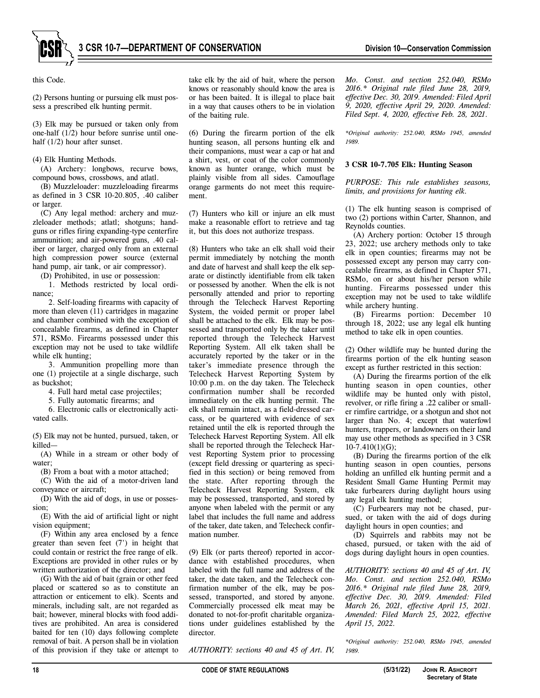

this Code.

(2) Persons hunting or pursuing elk must possess a prescribed elk hunting permit.

(3) Elk may be pursued or taken only from one-half (1/2) hour before sunrise until onehalf (1/2) hour after sunset.

#### (4) Elk Hunting Methods.

(A) Archery: longbows, recurve bows, compound bows, crossbows, and atlatl.

(B) Muzzleloader: muzzleloading firearms as defined in 3 CSR 10-20.805, .40 caliber or larger.

(C) Any legal method: archery and muzzleloader methods; atlatl; shotguns; handguns or rifles firing expanding-type centerfire ammunition; and air-powered guns, .40 caliber or larger, charged only from an external high compression power source (external hand pump, air tank, or air compressor).

(D) Prohibited, in use or possession:

1. Methods restricted by local ordinance;

2. Self-loading firearms with capacity of more than eleven (11) cartridges in magazine and chamber combined with the exception of concealable firearms, as defined in Chapter 571, RSMo. Firearms possessed under this exception may not be used to take wildlife while elk hunting;

3. Ammunition propelling more than one (1) projectile at a single discharge, such as buckshot;

4. Full hard metal case projectiles;

5. Fully automatic firearms; and

6. Electronic calls or electronically activated calls.

(5) Elk may not be hunted, pursued, taken, or killed—

(A) While in a stream or other body of water;

(B) From a boat with a motor attached;

(C) With the aid of a motor-driven land conveyance or aircraft;

(D) With the aid of dogs, in use or possession;

(E) With the aid of artificial light or night vision equipment;

(F) Within any area enclosed by a fence greater than seven feet (7') in height that could contain or restrict the free range of elk. Exceptions are provided in other rules or by written authorization of the director; and

(G) With the aid of bait (grain or other feed placed or scattered so as to constitute an attraction or enticement to elk). Scents and minerals, including salt, are not regarded as bait; however, mineral blocks with food additives are prohibited. An area is considered baited for ten (10) days following complete removal of bait. A person shall be in violation of this provision if they take or attempt to

take elk by the aid of bait, where the person knows or reasonably should know the area is or has been baited. It is illegal to place bait in a way that causes others to be in violation of the baiting rule.

(6) During the firearm portion of the elk hunting season, all persons hunting elk and their companions, must wear a cap or hat and a shirt, vest, or coat of the color commonly known as hunter orange, which must be plainly visible from all sides. Camouflage orange garments do not meet this requirement.

(7) Hunters who kill or injure an elk must make a reasonable effort to retrieve and tag it, but this does not authorize trespass.

(8) Hunters who take an elk shall void their permit immediately by notching the month and date of harvest and shall keep the elk separate or distinctly identifiable from elk taken or possessed by another. When the elk is not personally attended and prior to reporting through the Telecheck Harvest Reporting System, the voided permit or proper label shall be attached to the elk. Elk may be possessed and transported only by the taker until reported through the Telecheck Harvest Reporting System. All elk taken shall be accurately reported by the taker or in the taker's immediate presence through the Telecheck Harvest Reporting System by 10:00 p.m. on the day taken. The Telecheck confirmation number shall be recorded immediately on the elk hunting permit. The elk shall remain intact, as a field-dressed carcass, or be quartered with evidence of sex retained until the elk is reported through the Telecheck Harvest Reporting System. All elk shall be reported through the Telecheck Harvest Reporting System prior to processing (except field dressing or quartering as specified in this section) or being removed from the state. After reporting through the Telecheck Harvest Reporting System, elk may be possessed, transported, and stored by anyone when labeled with the permit or any label that includes the full name and address of the taker, date taken, and Telecheck confirmation number.

(9) Elk (or parts thereof) reported in accordance with established procedures, when labeled with the full name and address of the taker, the date taken, and the Telecheck confirmation number of the elk, may be possessed, transported, and stored by anyone. Commercially processed elk meat may be donated to not-for-profit charitable organizations under guidelines established by the director.

*AUTHORITY: sections 40 and 45 of Art. IV,* 

*Mo. Const. and section 252.040, RSMo 2016.\* Original rule filed June 28, 2019, effective Dec. 30, 2019. Amended: Filed April 9, 2020, effective April 29, 2020. Amended: Filed Sept. 4, 2020, effective Feb. 28, 2021.* 

*\*Original authority: 252.040, RSMo 1945, amended 1989.* 

#### **3 CSR 10-7.705 Elk: Hunting Season**

*PURPOSE: This rule establishes seasons, limits, and provisions for hunting elk.* 

(1) The elk hunting season is comprised of two (2) portions within Carter, Shannon, and Reynolds counties.

(A) Archery portion: October 15 through 23, 2022; use archery methods only to take elk in open counties; firearms may not be possessed except any person may carry concealable firearms, as defined in Chapter 571, RSMo, on or about his/her person while hunting. Firearms possessed under this exception may not be used to take wildlife while archery hunting.

(B) Firearms portion: December 10 through 18, 2022; use any legal elk hunting method to take elk in open counties.

(2) Other wildlife may be hunted during the firearms portion of the elk hunting season except as further restricted in this section:

(A) During the firearms portion of the elk hunting season in open counties, other wildlife may be hunted only with pistol, revolver, or rifle firing a .22 caliber or smaller rimfire cartridge, or a shotgun and shot not larger than No. 4; except that waterfowl hunters, trappers, or landowners on their land may use other methods as specified in 3 CSR  $10-7.410(1)(G);$ 

(B) During the firearms portion of the elk hunting season in open counties, persons holding an unfilled elk hunting permit and a Resident Small Game Hunting Permit may take furbearers during daylight hours using any legal elk hunting method;

(C) Furbearers may not be chased, pursued, or taken with the aid of dogs during daylight hours in open counties; and

(D) Squirrels and rabbits may not be chased, pursued, or taken with the aid of dogs during daylight hours in open counties.

*AUTHORITY: sections 40 and 45 of Art. IV, Mo. Const. and section 252.040, RSMo 2016.\* Original rule filed June 28, 2019, effective Dec. 30, 2019. Amended: Filed March 26, 2021, effective April 15, 2021. Amended: Filed March 25, 2022, effective April 15, 2022.* 

*\*Original authority: 252.040, RSMo 1945, amended 1989.*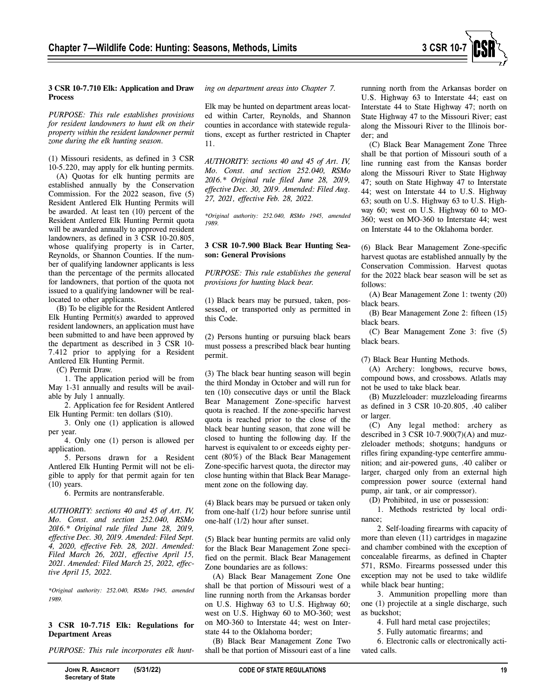

#### **3 CSR 10-7.710 Elk: Application and Draw Process**

*PURPOSE: This rule establishes provisions for resident landowners to hunt elk on their property within the resident landowner permit zone during the elk hunting season.* 

(1) Missouri residents, as defined in 3 CSR 10-5.220, may apply for elk hunting permits.

(A) Quotas for elk hunting permits are established annually by the Conservation Commission. For the 2022 season, five (5) Resident Antlered Elk Hunting Permits will be awarded. At least ten (10) percent of the Resident Antlered Elk Hunting Permit quota will be awarded annually to approved resident landowners, as defined in 3 CSR 10-20.805, whose qualifying property is in Carter, Reynolds, or Shannon Counties. If the number of qualifying landowner applicants is less than the percentage of the permits allocated for landowners, that portion of the quota not issued to a qualifying landowner will be reallocated to other applicants.

(B) To be eligible for the Resident Antlered Elk Hunting Permit(s) awarded to approved resident landowners, an application must have been submitted to and have been approved by the department as described in 3 CSR 10- 7.412 prior to applying for a Resident Antlered Elk Hunting Permit.

(C) Permit Draw.

1. The application period will be from May 1-31 annually and results will be available by July 1 annually.

2. Application fee for Resident Antlered Elk Hunting Permit: ten dollars (\$10).

3. Only one (1) application is allowed per year.

4. Only one (1) person is allowed per application.

5. Persons drawn for a Resident Antlered Elk Hunting Permit will not be eligible to apply for that permit again for ten (10) years.

6. Permits are nontransferable.

*AUTHORITY: sections 40 and 45 of Art. IV, Mo. Const. and section 252.040, RSMo 2016.\* Original rule filed June 28, 2019, effective Dec. 30, 2019. Amended: Filed Sept. 4, 2020, effective Feb. 28, 2021. Amended: Filed March 26, 2021, effective April 15, 2021. Amended: Filed March 25, 2022, effective April 15, 2022.* 

*\*Original authority: 252.040, RSMo 1945, amended 1989.* 

# **3 CSR 10-7.715 Elk: Regulations for Department Areas**

*PURPOSE: This rule incorporates elk hunt-*

Elk may be hunted on department areas located within Carter, Reynolds, and Shannon counties in accordance with statewide regulations, except as further restricted in Chapter 11.

*AUTHORITY: sections 40 and 45 of Art. IV, Mo. Const. and section 252.040, RSMo 2016.\* Original rule filed June 28, 2019, effective Dec. 30, 2019. Amended: Filed Aug. 27, 2021, effective Feb. 28, 2022.* 

*\*Original authority: 252.040, RSMo 1945, amended 1989.* 

# **3 CSR 10-7.900 Black Bear Hunting Season: General Provisions**

*PURPOSE: This rule establishes the general provisions for hunting black bear.* 

(1) Black bears may be pursued, taken, possessed, or transported only as permitted in this Code.

(2) Persons hunting or pursuing black bears must possess a prescribed black bear hunting permit.

(3) The black bear hunting season will begin the third Monday in October and will run for ten (10) consecutive days or until the Black Bear Management Zone-specific harvest quota is reached. If the zone-specific harvest quota is reached prior to the close of the black bear hunting season, that zone will be closed to hunting the following day. If the harvest is equivalent to or exceeds eighty percent (80%) of the Black Bear Management Zone-specific harvest quota, the director may close hunting within that Black Bear Management zone on the following day.

(4) Black bears may be pursued or taken only from one-half (1/2) hour before sunrise until one-half (1/2) hour after sunset.

(5) Black bear hunting permits are valid only for the Black Bear Management Zone specified on the permit. Black Bear Management Zone boundaries are as follows:

(A) Black Bear Management Zone One shall be that portion of Missouri west of a line running north from the Arkansas border on U.S. Highway 63 to U.S. Highway 60; west on U.S. Highway 60 to MO-360; west on MO-360 to Interstate 44; west on Interstate 44 to the Oklahoma border;

(B) Black Bear Management Zone Two shall be that portion of Missouri east of a line

running north from the Arkansas border on U.S. Highway 63 to Interstate 44; east on Interstate 44 to State Highway 47; north on State Highway 47 to the Missouri River; east along the Missouri River to the Illinois border; and

(C) Black Bear Management Zone Three shall be that portion of Missouri south of a line running east from the Kansas border along the Missouri River to State Highway 47; south on State Highway 47 to Interstate 44; west on Interstate 44 to U.S. Highway 63; south on U.S. Highway 63 to U.S. Highway 60; west on U.S. Highway 60 to MO-360; west on MO-360 to Interstate 44; west on Interstate 44 to the Oklahoma border.

(6) Black Bear Management Zone-specific harvest quotas are established annually by the Conservation Commission. Harvest quotas for the 2022 black bear season will be set as follows:

(A) Bear Management Zone 1: twenty (20) black bears.

(B) Bear Management Zone 2: fifteen (15) black bears.

(C) Bear Management Zone 3: five (5) black bears.

(7) Black Bear Hunting Methods.

(A) Archery: longbows, recurve bows, compound bows, and crossbows. Atlatls may not be used to take black bear.

(B) Muzzleloader: muzzleloading firearms as defined in 3 CSR 10-20.805, .40 caliber or larger.

(C) Any legal method: archery as described in 3 CSR 10-7.900(7)(A) and muzzleloader methods; shotguns; handguns or rifles firing expanding-type centerfire ammunition; and air-powered guns, .40 caliber or larger, charged only from an external high compression power source (external hand pump, air tank, or air compressor).

(D) Prohibited, in use or possession:

1. Methods restricted by local ordinance;

2. Self-loading firearms with capacity of more than eleven (11) cartridges in magazine and chamber combined with the exception of concealable firearms, as defined in Chapter 571, RSMo. Firearms possessed under this exception may not be used to take wildlife while black bear hunting;

3. Ammunition propelling more than one (1) projectile at a single discharge, such as buckshot;

4. Full hard metal case projectiles;

5. Fully automatic firearms; and

6. Electronic calls or electronically activated calls.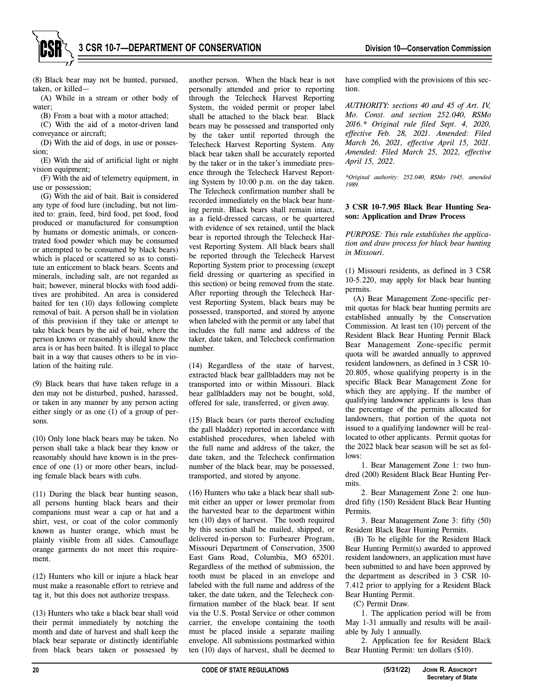

(8) Black bear may not be hunted, pursued, taken, or killed—

(A) While in a stream or other body of water;

(B) From a boat with a motor attached;

(C) With the aid of a motor-driven land conveyance or aircraft;

(D) With the aid of dogs, in use or possession;

(E) With the aid of artificial light or night vision equipment;

(F) With the aid of telemetry equipment, in use or possession;

(G) With the aid of bait. Bait is considered any type of food lure (including, but not limited to: grain, feed, bird food, pet food, food produced or manufactured for consumption by humans or domestic animals, or concentrated food powder which may be consumed or attempted to be consumed by black bears) which is placed or scattered so as to constitute an enticement to black bears. Scents and minerals, including salt, are not regarded as bait; however, mineral blocks with food additives are prohibited. An area is considered baited for ten (10) days following complete removal of bait. A person shall be in violation of this provision if they take or attempt to take black bears by the aid of bait, where the person knows or reasonably should know the area is or has been baited. It is illegal to place bait in a way that causes others to be in violation of the baiting rule.

(9) Black bears that have taken refuge in a den may not be disturbed, pushed, harassed, or taken in any manner by any person acting either singly or as one (1) of a group of persons.

(10) Only lone black bears may be taken. No person shall take a black bear they know or reasonably should have known is in the presence of one (1) or more other bears, including female black bears with cubs.

(11) During the black bear hunting season, all persons hunting black bears and their companions must wear a cap or hat and a shirt, vest, or coat of the color commonly known as hunter orange, which must be plainly visible from all sides. Camouflage orange garments do not meet this requirement.

(12) Hunters who kill or injure a black bear must make a reasonable effort to retrieve and tag it, but this does not authorize trespass.

(13) Hunters who take a black bear shall void their permit immediately by notching the month and date of harvest and shall keep the black bear separate or distinctly identifiable from black bears taken or possessed by

another person. When the black bear is not personally attended and prior to reporting through the Telecheck Harvest Reporting System, the voided permit or proper label shall be attached to the black bear. Black bears may be possessed and transported only by the taker until reported through the Telecheck Harvest Reporting System. Any black bear taken shall be accurately reported by the taker or in the taker's immediate presence through the Telecheck Harvest Reporting System by 10:00 p.m. on the day taken. The Telecheck confirmation number shall be recorded immediately on the black bear hunting permit. Black bears shall remain intact, as a field-dressed carcass, or be quartered with evidence of sex retained, until the black bear is reported through the Telecheck Harvest Reporting System. All black bears shall be reported through the Telecheck Harvest Reporting System prior to processing (except field dressing or quartering as specified in this section) or being removed from the state. After reporting through the Telecheck Harvest Reporting System, black bears may be possessed, transported, and stored by anyone when labeled with the permit or any label that includes the full name and address of the taker, date taken, and Telecheck confirmation number.

(14) Regardless of the state of harvest, extracted black bear gallbladders may not be transported into or within Missouri. Black bear gallbladders may not be bought, sold, offered for sale, transferred, or given away.

(15) Black bears (or parts thereof excluding the gall bladder) reported in accordance with established procedures, when labeled with the full name and address of the taker, the date taken, and the Telecheck confirmation number of the black bear, may be possessed, transported, and stored by anyone.

(16) Hunters who take a black bear shall submit either an upper or lower premolar from the harvested bear to the department within ten (10) days of harvest. The tooth required by this section shall be mailed, shipped, or delivered in-person to: Furbearer Program, Missouri Department of Conservation, 3500 East Gans Road, Columbia, MO 65201. Regardless of the method of submission, the tooth must be placed in an envelope and labeled with the full name and address of the taker, the date taken, and the Telecheck confirmation number of the black bear. If sent via the U.S. Postal Service or other common carrier, the envelope containing the tooth must be placed inside a separate mailing envelope. All submissions postmarked within ten (10) days of harvest, shall be deemed to

have complied with the provisions of this section.

*AUTHORITY: sections 40 and 45 of Art. IV, Mo. Const. and section 252.040, RSMo 2016.\* Original rule filed Sept. 4, 2020, effective Feb. 28, 2021. Amended: Filed March 26, 2021, effective April 15, 2021. Amended: Filed March 25, 2022, effective April 15, 2022.*

*\*Original authority: 252.040, RSMo 1945, amended 1989.* 

# **3 CSR 10-7.905 Black Bear Hunting Season: Application and Draw Process**

*PURPOSE: This rule establishes the application and draw process for black bear hunting in Missouri.* 

(1) Missouri residents, as defined in 3 CSR 10-5.220, may apply for black bear hunting permits.

(A) Bear Management Zone-specific permit quotas for black bear hunting permits are established annually by the Conservation Commission. At least ten (10) percent of the Resident Black Bear Hunting Permit Black Bear Management Zone-specific permit quota will be awarded annually to approved resident landowners, as defined in 3 CSR 10- 20.805, whose qualifying property is in the specific Black Bear Management Zone for which they are applying. If the number of qualifying landowner applicants is less than the percentage of the permits allocated for landowners, that portion of the quota not issued to a qualifying landowner will be reallocated to other applicants. Permit quotas for the 2022 black bear season will be set as follows:

1. Bear Management Zone 1: two hundred (200) Resident Black Bear Hunting Permits.

2. Bear Management Zone 2: one hundred fifty (150) Resident Black Bear Hunting Permits.

3. Bear Management Zone 3: fifty (50) Resident Black Bear Hunting Permits.

(B) To be eligible for the Resident Black Bear Hunting Permit(s) awarded to approved resident landowners, an application must have been submitted to and have been approved by the department as described in 3 CSR 10- 7.412 prior to applying for a Resident Black Bear Hunting Permit.

(C) Permit Draw.

1. The application period will be from May 1-31 annually and results will be available by July 1 annually.

2. Application fee for Resident Black Bear Hunting Permit: ten dollars (\$10).